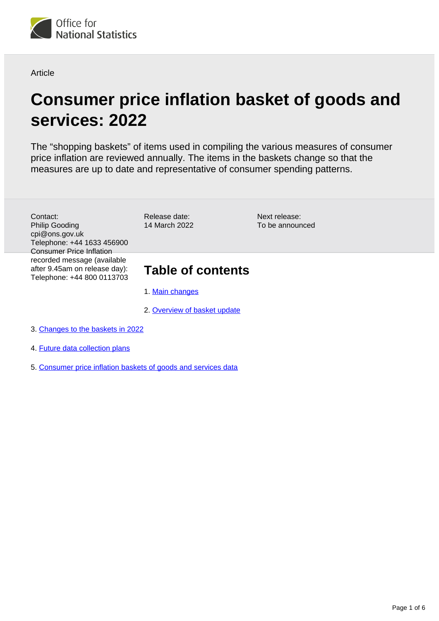

**Article** 

# **Consumer price inflation basket of goods and services: 2022**

The "shopping baskets" of items used in compiling the various measures of consumer price inflation are reviewed annually. The items in the baskets change so that the measures are up to date and representative of consumer spending patterns.

Contact: Philip Gooding cpi@ons.gov.uk Telephone: +44 1633 456900 Consumer Price Inflation recorded message (available after 9.45am on release day): Telephone: +44 800 0113703 Release date: 14 March 2022

Next release: To be announced

# **Table of contents**

- 1. [Main changes](#page-1-0)
- 2. [Overview of basket update](#page-1-1)
- 3. [Changes to the baskets in 2022](#page-3-0)
- 4. [Future data collection plans](#page-5-0)
- 5. [Consumer price inflation baskets of goods and services data](#page-5-1)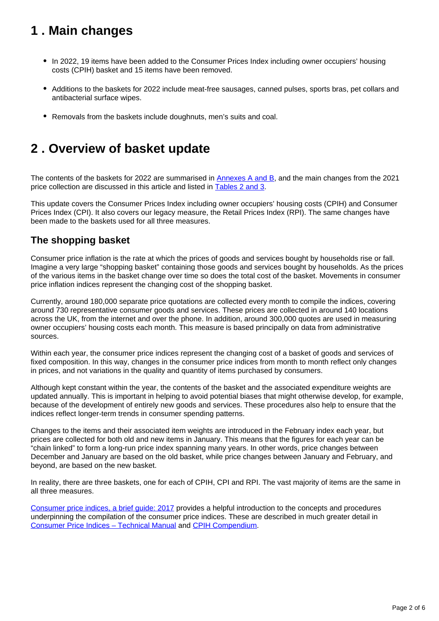# <span id="page-1-0"></span>**1 . Main changes**

- In 2022, 19 items have been added to the Consumer Prices Index including owner occupiers' housing costs (CPIH) basket and 15 items have been removed.
- Additions to the baskets for 2022 include meat-free sausages, canned pulses, sports bras, pet collars and antibacterial surface wipes.
- Removals from the baskets include doughnuts, men's suits and coal.

## <span id="page-1-1"></span>**2 . Overview of basket update**

The contents of the baskets for 2022 are summarised in [Annexes A and B](https://www.ons.gov.uk/economy/inflationandpriceindices/datasets/consumerpriceinflationbasketofgoodsandservices), and the main changes from the 2021 price collection are discussed in this article and listed in **[Tables 2 and 3.](https://www.ons.gov.uk/economy/inflationandpriceindices/datasets/consumerpriceinflationbasketofgoodsandservices)** 

This update covers the Consumer Prices Index including owner occupiers' housing costs (CPIH) and Consumer Prices Index (CPI). It also covers our legacy measure, the Retail Prices Index (RPI). The same changes have been made to the baskets used for all three measures.

### **The shopping basket**

Consumer price inflation is the rate at which the prices of goods and services bought by households rise or fall. Imagine a very large "shopping basket" containing those goods and services bought by households. As the prices of the various items in the basket change over time so does the total cost of the basket. Movements in consumer price inflation indices represent the changing cost of the shopping basket.

Currently, around 180,000 separate price quotations are collected every month to compile the indices, covering around 730 representative consumer goods and services. These prices are collected in around 140 locations across the UK, from the internet and over the phone. In addition, around 300,000 quotes are used in measuring owner occupiers' housing costs each month. This measure is based principally on data from administrative sources.

Within each year, the consumer price indices represent the changing cost of a basket of goods and services of fixed composition. In this way, changes in the consumer price indices from month to month reflect only changes in prices, and not variations in the quality and quantity of items purchased by consumers.

Although kept constant within the year, the contents of the basket and the associated expenditure weights are updated annually. This is important in helping to avoid potential biases that might otherwise develop, for example, because of the development of entirely new goods and services. These procedures also help to ensure that the indices reflect longer-term trends in consumer spending patterns.

Changes to the items and their associated item weights are introduced in the February index each year, but prices are collected for both old and new items in January. This means that the figures for each year can be "chain linked" to form a long-run price index spanning many years. In other words, price changes between December and January are based on the old basket, while price changes between January and February, and beyond, are based on the new basket.

In reality, there are three baskets, one for each of CPIH, CPI and RPI. The vast majority of items are the same in all three measures.

[Consumer price indices, a brief guide: 2017](https://www.ons.gov.uk/economy/inflationandpriceindices/articles/consumerpriceindicesabriefguide/2017) provides a helpful introduction to the concepts and procedures underpinning the compilation of the consumer price indices. These are described in much greater detail in [Consumer Price Indices – Technical Manual](https://www.ons.gov.uk/economy/inflationandpriceindices/methodologies/consumerpricesindicestechnicalmanual2019) and [CPIH Compendium](https://www.ons.gov.uk/economy/inflationandpriceindices/articles/cpihcompendium/2016-10-13).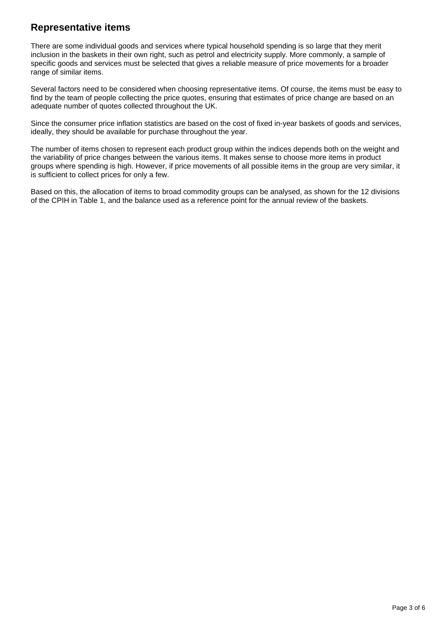### **Representative items**

There are some individual goods and services where typical household spending is so large that they merit inclusion in the baskets in their own right, such as petrol and electricity supply. More commonly, a sample of specific goods and services must be selected that gives a reliable measure of price movements for a broader range of similar items.

Several factors need to be considered when choosing representative items. Of course, the items must be easy to find by the team of people collecting the price quotes, ensuring that estimates of price change are based on an adequate number of quotes collected throughout the UK.

Since the consumer price inflation statistics are based on the cost of fixed in-year baskets of goods and services, ideally, they should be available for purchase throughout the year.

The number of items chosen to represent each product group within the indices depends both on the weight and the variability of price changes between the various items. It makes sense to choose more items in product groups where spending is high. However, if price movements of all possible items in the group are very similar, it is sufficient to collect prices for only a few.

Based on this, the allocation of items to broad commodity groups can be analysed, as shown for the 12 divisions of the CPIH in Table 1, and the balance used as a reference point for the annual review of the baskets.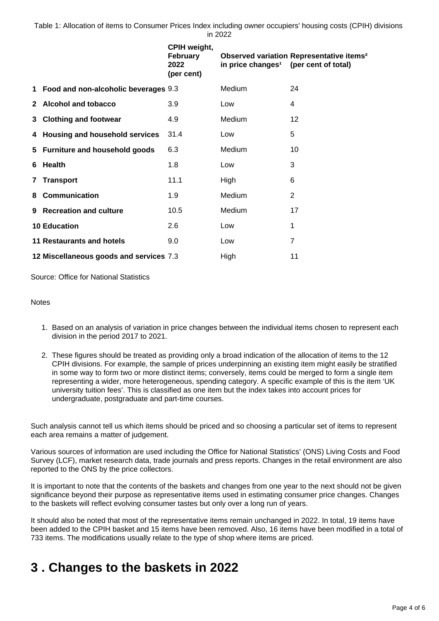Table 1: Allocation of items to Consumer Prices Index including owner occupiers' housing costs (CPIH) divisions in 2022

|    |                                         | CPIH weight,<br>February<br>2022<br>(per cent) | in price changes <sup>1</sup> | Observed variation Representative items <sup>2</sup><br>(per cent of total) |
|----|-----------------------------------------|------------------------------------------------|-------------------------------|-----------------------------------------------------------------------------|
| 1  | Food and non-alcoholic beverages 9.3    |                                                | Medium                        | 24                                                                          |
|    | 2 Alcohol and tobacco                   | 3.9                                            | Low                           | 4                                                                           |
| 3  | <b>Clothing and footwear</b>            | 4.9                                            | Medium                        | 12                                                                          |
| 4  | Housing and household services          | 31.4                                           | Low                           | 5                                                                           |
|    | 5 Furniture and household goods         | 6.3                                            | Medium                        | 10                                                                          |
| 6  | <b>Health</b>                           | 1.8                                            | Low                           | 3                                                                           |
| 7  | <b>Transport</b>                        | 11.1                                           | High                          | 6                                                                           |
| 8  | <b>Communication</b>                    | 1.9                                            | Medium                        | $\overline{2}$                                                              |
| 9. | <b>Recreation and culture</b>           | 10.5                                           | Medium                        | 17                                                                          |
|    | <b>10 Education</b>                     | 2.6                                            | Low                           | 1                                                                           |
|    | <b>11 Restaurants and hotels</b>        | 9.0                                            | Low                           | $\overline{7}$                                                              |
|    | 12 Miscellaneous goods and services 7.3 |                                                | High                          | 11                                                                          |

Source: Office for National Statistics

### **Notes**

- 1. Based on an analysis of variation in price changes between the individual items chosen to represent each division in the period 2017 to 2021.
- 2. These figures should be treated as providing only a broad indication of the allocation of items to the 12 CPIH divisions. For example, the sample of prices underpinning an existing item might easily be stratified in some way to form two or more distinct items; conversely, items could be merged to form a single item representing a wider, more heterogeneous, spending category. A specific example of this is the item 'UK university tuition fees'. This is classified as one item but the index takes into account prices for undergraduate, postgraduate and part-time courses.

Such analysis cannot tell us which items should be priced and so choosing a particular set of items to represent each area remains a matter of judgement.

Various sources of information are used including the Office for National Statistics' (ONS) Living Costs and Food Survey (LCF), market research data, trade journals and press reports. Changes in the retail environment are also reported to the ONS by the price collectors.

It is important to note that the contents of the baskets and changes from one year to the next should not be given significance beyond their purpose as representative items used in estimating consumer price changes. Changes to the baskets will reflect evolving consumer tastes but only over a long run of years.

It should also be noted that most of the representative items remain unchanged in 2022. In total, 19 items have been added to the CPIH basket and 15 items have been removed. Also, 16 items have been modified in a total of 733 items. The modifications usually relate to the type of shop where items are priced.

## <span id="page-3-0"></span>**3 . Changes to the baskets in 2022**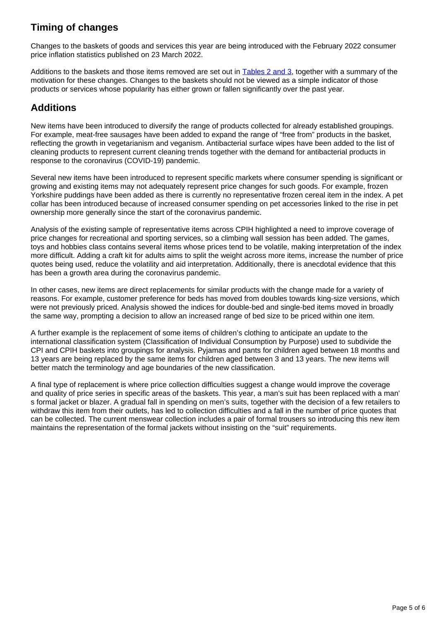## **Timing of changes**

Changes to the baskets of goods and services this year are being introduced with the February 2022 consumer price inflation statistics published on 23 March 2022.

Additions to the baskets and those items removed are set out in **Tables 2 and 3**, together with a summary of the motivation for these changes. Changes to the baskets should not be viewed as a simple indicator of those products or services whose popularity has either grown or fallen significantly over the past year.

### **Additions**

New items have been introduced to diversify the range of products collected for already established groupings. For example, meat-free sausages have been added to expand the range of "free from" products in the basket, reflecting the growth in vegetarianism and veganism. Antibacterial surface wipes have been added to the list of cleaning products to represent current cleaning trends together with the demand for antibacterial products in response to the coronavirus (COVID-19) pandemic.

Several new items have been introduced to represent specific markets where consumer spending is significant or growing and existing items may not adequately represent price changes for such goods. For example, frozen Yorkshire puddings have been added as there is currently no representative frozen cereal item in the index. A pet collar has been introduced because of increased consumer spending on pet accessories linked to the rise in pet ownership more generally since the start of the coronavirus pandemic.

Analysis of the existing sample of representative items across CPIH highlighted a need to improve coverage of price changes for recreational and sporting services, so a climbing wall session has been added. The games, toys and hobbies class contains several items whose prices tend to be volatile, making interpretation of the index more difficult. Adding a craft kit for adults aims to split the weight across more items, increase the number of price quotes being used, reduce the volatility and aid interpretation. Additionally, there is anecdotal evidence that this has been a growth area during the coronavirus pandemic.

In other cases, new items are direct replacements for similar products with the change made for a variety of reasons. For example, customer preference for beds has moved from doubles towards king-size versions, which were not previously priced. Analysis showed the indices for double-bed and single-bed items moved in broadly the same way, prompting a decision to allow an increased range of bed size to be priced within one item.

A further example is the replacement of some items of children's clothing to anticipate an update to the international classification system (Classification of Individual Consumption by Purpose) used to subdivide the CPI and CPIH baskets into groupings for analysis. Pyjamas and pants for children aged between 18 months and 13 years are being replaced by the same items for children aged between 3 and 13 years. The new items will better match the terminology and age boundaries of the new classification.

A final type of replacement is where price collection difficulties suggest a change would improve the coverage and quality of price series in specific areas of the baskets. This year, a man's suit has been replaced with a man' s formal jacket or blazer. A gradual fall in spending on men's suits, together with the decision of a few retailers to withdraw this item from their outlets, has led to collection difficulties and a fall in the number of price quotes that can be collected. The current menswear collection includes a pair of formal trousers so introducing this new item maintains the representation of the formal jackets without insisting on the "suit" requirements.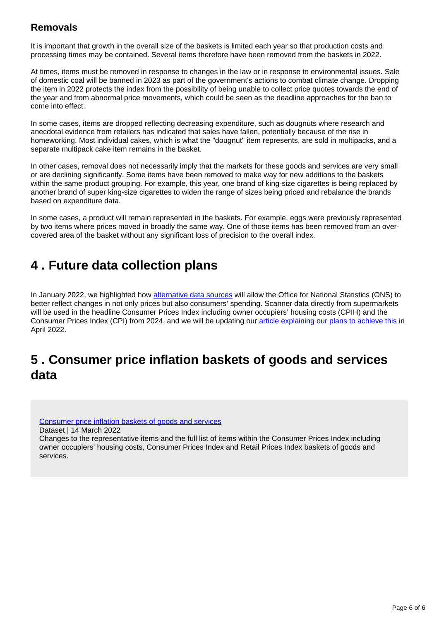### **Removals**

It is important that growth in the overall size of the baskets is limited each year so that production costs and processing times may be contained. Several items therefore have been removed from the baskets in 2022.

At times, items must be removed in response to changes in the law or in response to environmental issues. Sale of domestic coal will be banned in 2023 as part of the government's actions to combat climate change. Dropping the item in 2022 protects the index from the possibility of being unable to collect price quotes towards the end of the year and from abnormal price movements, which could be seen as the deadline approaches for the ban to come into effect.

In some cases, items are dropped reflecting decreasing expenditure, such as dougnuts where research and anecdotal evidence from retailers has indicated that sales have fallen, potentially because of the rise in homeworking. Most individual cakes, which is what the "dougnut" item represents, are sold in multipacks, and a separate multipack cake item remains in the basket.

In other cases, removal does not necessarily imply that the markets for these goods and services are very small or are declining significantly. Some items have been removed to make way for new additions to the baskets within the same product grouping. For example, this year, one brand of king-size cigarettes is being replaced by another brand of super king-size cigarettes to widen the range of sizes being priced and rebalance the brands based on expenditure data.

In some cases, a product will remain represented in the baskets. For example, eggs were previously represented by two items where prices moved in broadly the same way. One of those items has been removed from an overcovered area of the basket without any significant loss of precision to the overall index.

## <span id="page-5-0"></span>**4 . Future data collection plans**

In January 2022, we highlighted how [alternative data sources](https://blog.ons.gov.uk/2022/01/26/measuring-the-changing-prices-and-costs-faced-by-households/) will allow the Office for National Statistics (ONS) to better reflect changes in not only prices but also consumers' spending. Scanner data directly from supermarkets will be used in the headline Consumer Prices Index including owner occupiers' housing costs (CPIH) and the Consumer Prices Index (CPI) from 2024, and we will be updating our [article explaining our plans to achieve this](https://www.ons.gov.uk/economy/inflationandpriceindices/articles/introducingalternativedatasourcesintoconsumerpricestatistics/november2021) in April 2022.

## <span id="page-5-1"></span>**5 . Consumer price inflation baskets of goods and services data**

[Consumer price inflation baskets of goods and services](https://www.ons.gov.uk/economy/inflationandpriceindices/datasets/consumerpriceinflationbasketofgoodsandservices)

Dataset | 14 March 2022

Changes to the representative items and the full list of items within the Consumer Prices Index including owner occupiers' housing costs, Consumer Prices Index and Retail Prices Index baskets of goods and services.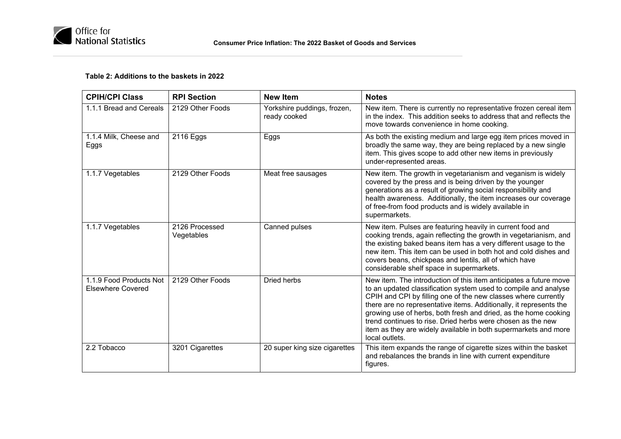

### **Table 2: Additions to the baskets in 2022**

| <b>CPIH/CPI Class</b>                               | <b>RPI Section</b>           | <b>New Item</b>                             | <b>Notes</b>                                                                                                                                                                                                                                                                                                                                                                                                                                                                                        |
|-----------------------------------------------------|------------------------------|---------------------------------------------|-----------------------------------------------------------------------------------------------------------------------------------------------------------------------------------------------------------------------------------------------------------------------------------------------------------------------------------------------------------------------------------------------------------------------------------------------------------------------------------------------------|
| 1.1.1 Bread and Cereals                             | 2129 Other Foods             | Yorkshire puddings, frozen,<br>ready cooked | New item. There is currently no representative frozen cereal item<br>in the index. This addition seeks to address that and reflects the<br>move towards convenience in home cooking.                                                                                                                                                                                                                                                                                                                |
| 1.1.4 Milk, Cheese and<br>Eggs                      | 2116 Eggs                    | Eggs                                        | As both the existing medium and large egg item prices moved in<br>broadly the same way, they are being replaced by a new single<br>item. This gives scope to add other new items in previously<br>under-represented areas.                                                                                                                                                                                                                                                                          |
| 1.1.7 Vegetables                                    | 2129 Other Foods             | Meat free sausages                          | New item. The growth in vegetarianism and veganism is widely<br>covered by the press and is being driven by the younger<br>generations as a result of growing social responsibility and<br>health awareness. Additionally, the item increases our coverage<br>of free-from food products and is widely available in<br>supermarkets.                                                                                                                                                                |
| 1.1.7 Vegetables                                    | 2126 Processed<br>Vegetables | Canned pulses                               | New item. Pulses are featuring heavily in current food and<br>cooking trends, again reflecting the growth in vegetarianism, and<br>the existing baked beans item has a very different usage to the<br>new item. This item can be used in both hot and cold dishes and<br>covers beans, chickpeas and lentils, all of which have<br>considerable shelf space in supermarkets.                                                                                                                        |
| 1.1.9 Food Products Not<br><b>Elsewhere Covered</b> | 2129 Other Foods             | <b>Dried herbs</b>                          | New item. The introduction of this item anticipates a future move<br>to an updated classification system used to compile and analyse<br>CPIH and CPI by filling one of the new classes where currently<br>there are no representative items. Additionally, it represents the<br>growing use of herbs, both fresh and dried, as the home cooking<br>trend continues to rise. Dried herbs were chosen as the new<br>item as they are widely available in both supermarkets and more<br>local outlets. |
| 2.2 Tobacco                                         | 3201 Cigarettes              | 20 super king size cigarettes               | This item expands the range of cigarette sizes within the basket<br>and rebalances the brands in line with current expenditure<br>figures.                                                                                                                                                                                                                                                                                                                                                          |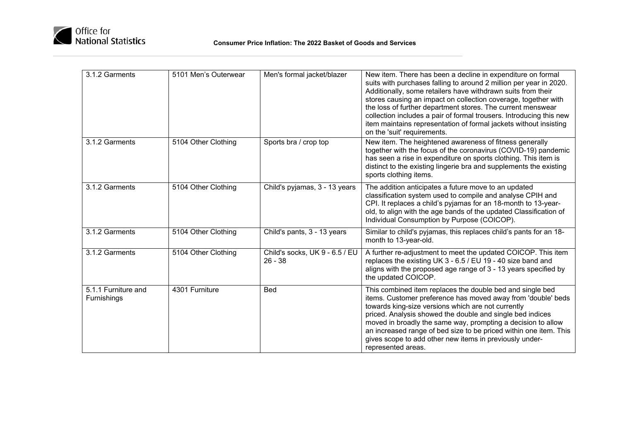

| 3.1.2 Garments                     | 5101 Men's Outerwear | Men's formal jacket/blazer                  | New item. There has been a decline in expenditure on formal<br>suits with purchases falling to around 2 million per year in 2020.<br>Additionally, some retailers have withdrawn suits from their<br>stores causing an impact on collection coverage, together with<br>the loss of further department stores. The current menswear<br>collection includes a pair of formal trousers. Introducing this new<br>item maintains representation of formal jackets without insisting<br>on the 'suit' requirements. |
|------------------------------------|----------------------|---------------------------------------------|---------------------------------------------------------------------------------------------------------------------------------------------------------------------------------------------------------------------------------------------------------------------------------------------------------------------------------------------------------------------------------------------------------------------------------------------------------------------------------------------------------------|
| 3.1.2 Garments                     | 5104 Other Clothing  | Sports bra / crop top                       | New item. The heightened awareness of fitness generally<br>together with the focus of the coronavirus (COVID-19) pandemic<br>has seen a rise in expenditure on sports clothing. This item is<br>distinct to the existing lingerie bra and supplements the existing<br>sports clothing items.                                                                                                                                                                                                                  |
| 3.1.2 Garments                     | 5104 Other Clothing  | Child's pyjamas, 3 - 13 years               | The addition anticipates a future move to an updated<br>classification system used to compile and analyse CPIH and<br>CPI. It replaces a child's pyjamas for an 18-month to 13-year-<br>old, to align with the age bands of the updated Classification of<br>Individual Consumption by Purpose (COICOP).                                                                                                                                                                                                      |
| 3.1.2 Garments                     | 5104 Other Clothing  | Child's pants, 3 - 13 years                 | Similar to child's pyjamas, this replaces child's pants for an 18-<br>month to 13-year-old.                                                                                                                                                                                                                                                                                                                                                                                                                   |
| 3.1.2 Garments                     | 5104 Other Clothing  | Child's socks, UK 9 - 6.5 / EU<br>$26 - 38$ | A further re-adjustment to meet the updated COICOP. This item<br>replaces the existing UK 3 - 6.5 / EU 19 - 40 size band and<br>aligns with the proposed age range of 3 - 13 years specified by<br>the updated COICOP.                                                                                                                                                                                                                                                                                        |
| 5.1.1 Furniture and<br>Furnishings | 4301 Furniture       | <b>Bed</b>                                  | This combined item replaces the double bed and single bed<br>items. Customer preference has moved away from 'double' beds<br>towards king-size versions which are not currently<br>priced. Analysis showed the double and single bed indices<br>moved in broadly the same way, prompting a decision to allow<br>an increased range of bed size to be priced within one item. This<br>gives scope to add other new items in previously under-<br>represented areas.                                            |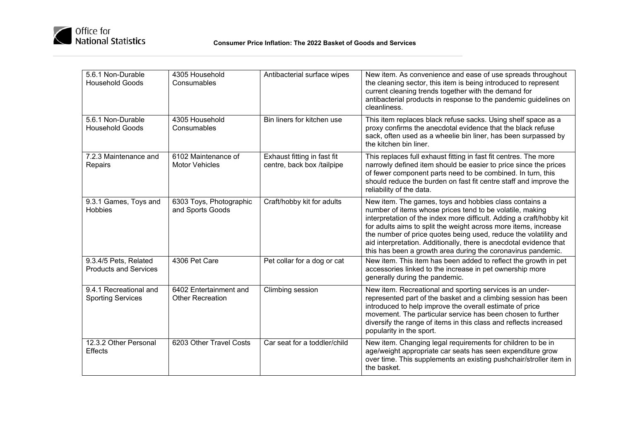

| 5.6.1 Non-Durable<br><b>Household Goods</b>           | 4305 Household<br>Consumables                     | Antibacterial surface wipes                               | New item. As convenience and ease of use spreads throughout<br>the cleaning sector, this item is being introduced to represent<br>current cleaning trends together with the demand for<br>antibacterial products in response to the pandemic guidelines on<br>cleanliness.                                                                                                                                                                                              |
|-------------------------------------------------------|---------------------------------------------------|-----------------------------------------------------------|-------------------------------------------------------------------------------------------------------------------------------------------------------------------------------------------------------------------------------------------------------------------------------------------------------------------------------------------------------------------------------------------------------------------------------------------------------------------------|
| 5.6.1 Non-Durable<br><b>Household Goods</b>           | 4305 Household<br>Consumables                     | Bin liners for kitchen use                                | This item replaces black refuse sacks. Using shelf space as a<br>proxy confirms the anecdotal evidence that the black refuse<br>sack, often used as a wheelie bin liner, has been surpassed by<br>the kitchen bin liner.                                                                                                                                                                                                                                                |
| 7.2.3 Maintenance and<br>Repairs                      | 6102 Maintenance of<br><b>Motor Vehicles</b>      | Exhaust fitting in fast fit<br>centre, back box /tailpipe | This replaces full exhaust fitting in fast fit centres. The more<br>narrowly defined item should be easier to price since the prices<br>of fewer component parts need to be combined. In turn, this<br>should reduce the burden on fast fit centre staff and improve the<br>reliability of the data.                                                                                                                                                                    |
| 9.3.1 Games, Toys and<br><b>Hobbies</b>               | 6303 Toys, Photographic<br>and Sports Goods       | Craft/hobby kit for adults                                | New item. The games, toys and hobbies class contains a<br>number of items whose prices tend to be volatile, making<br>interpretation of the index more difficult. Adding a craft/hobby kit<br>for adults aims to split the weight across more items, increase<br>the number of price quotes being used, reduce the volatility and<br>aid interpretation. Additionally, there is anecdotal evidence that<br>this has been a growth area during the coronavirus pandemic. |
| 9.3.4/5 Pets, Related<br><b>Products and Services</b> | 4306 Pet Care                                     | Pet collar for a dog or cat                               | New item. This item has been added to reflect the growth in pet<br>accessories linked to the increase in pet ownership more<br>generally during the pandemic.                                                                                                                                                                                                                                                                                                           |
| 9.4.1 Recreational and<br><b>Sporting Services</b>    | 6402 Entertainment and<br><b>Other Recreation</b> | Climbing session                                          | New item. Recreational and sporting services is an under-<br>represented part of the basket and a climbing session has been<br>introduced to help improve the overall estimate of price<br>movement. The particular service has been chosen to further<br>diversify the range of items in this class and reflects increased<br>popularity in the sport.                                                                                                                 |
| 12.3.2 Other Personal<br><b>Effects</b>               | 6203 Other Travel Costs                           | Car seat for a toddler/child                              | New item. Changing legal requirements for children to be in<br>age/weight appropriate car seats has seen expenditure grow<br>over time. This supplements an existing pushchair/stroller item in<br>the basket.                                                                                                                                                                                                                                                          |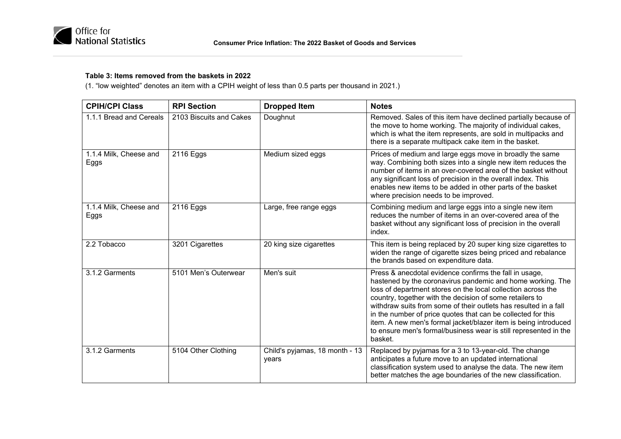

### **Table 3: Items removed from the baskets in 2022**

(1. "low weighted" denotes an item with a CPIH weight of less than 0.5 parts per thousand in 2021.)

| <b>CPIH/CPI Class</b>          | <b>RPI Section</b>      | <b>Dropped Item</b>                     | <b>Notes</b>                                                                                                                                                                                                                                                                                                                                                                                                                                                                                                                           |
|--------------------------------|-------------------------|-----------------------------------------|----------------------------------------------------------------------------------------------------------------------------------------------------------------------------------------------------------------------------------------------------------------------------------------------------------------------------------------------------------------------------------------------------------------------------------------------------------------------------------------------------------------------------------------|
| 1.1.1 Bread and Cereals        | 2103 Biscuits and Cakes | Doughnut                                | Removed. Sales of this item have declined partially because of<br>the move to home working. The majority of individual cakes,<br>which is what the item represents, are sold in multipacks and<br>there is a separate multipack cake item in the basket.                                                                                                                                                                                                                                                                               |
| 1.1.4 Milk, Cheese and<br>Eggs | 2116 Eggs               | Medium sized eggs                       | Prices of medium and large eggs move in broadly the same<br>way. Combining both sizes into a single new item reduces the<br>number of items in an over-covered area of the basket without<br>any significant loss of precision in the overall index. This<br>enables new items to be added in other parts of the basket<br>where precision needs to be improved.                                                                                                                                                                       |
| 1.1.4 Milk, Cheese and<br>Eggs | 2116 Eggs               | Large, free range eggs                  | Combining medium and large eggs into a single new item<br>reduces the number of items in an over-covered area of the<br>basket without any significant loss of precision in the overall<br>index.                                                                                                                                                                                                                                                                                                                                      |
| 2.2 Tobacco                    | 3201 Cigarettes         | 20 king size cigarettes                 | This item is being replaced by 20 super king size cigarettes to<br>widen the range of cigarette sizes being priced and rebalance<br>the brands based on expenditure data.                                                                                                                                                                                                                                                                                                                                                              |
| 3.1.2 Garments                 | 5101 Men's Outerwear    | Men's suit                              | Press & anecdotal evidence confirms the fall in usage,<br>hastened by the coronavirus pandemic and home working. The<br>loss of department stores on the local collection across the<br>country, together with the decision of some retailers to<br>withdraw suits from some of their outlets has resulted in a fall<br>in the number of price quotes that can be collected for this<br>item. A new men's formal jacket/blazer item is being introduced<br>to ensure men's formal/business wear is still represented in the<br>basket. |
| 3.1.2 Garments                 | 5104 Other Clothing     | Child's pyjamas, 18 month - 13<br>years | Replaced by pyjamas for a 3 to 13-year-old. The change<br>anticipates a future move to an updated international<br>classification system used to analyse the data. The new item<br>better matches the age boundaries of the new classification.                                                                                                                                                                                                                                                                                        |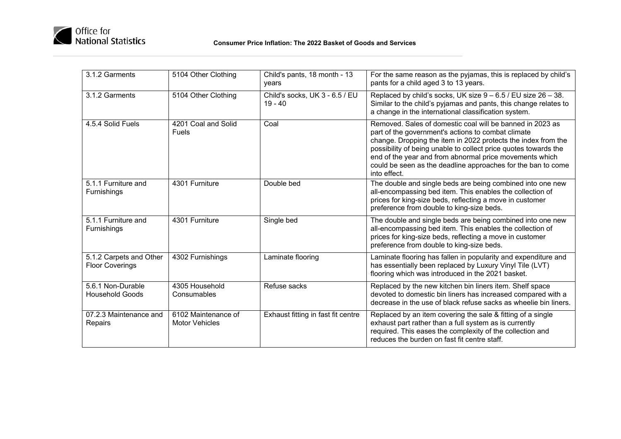

| 3.1.2 Garments                                    | 5104 Other Clothing                          | Child's pants, 18 month - 13<br>years       | For the same reason as the pyjamas, this is replaced by child's<br>pants for a child aged 3 to 13 years.                                                                                                                                                                                                                                                                                       |
|---------------------------------------------------|----------------------------------------------|---------------------------------------------|------------------------------------------------------------------------------------------------------------------------------------------------------------------------------------------------------------------------------------------------------------------------------------------------------------------------------------------------------------------------------------------------|
| 3.1.2 Garments                                    | 5104 Other Clothing                          | Child's socks, UK 3 - 6.5 / EU<br>$19 - 40$ | Replaced by child's socks, UK size $9 - 6.5$ / EU size $26 - 38$ .<br>Similar to the child's pyjamas and pants, this change relates to<br>a change in the international classification system.                                                                                                                                                                                                 |
| 4.5.4 Solid Fuels                                 | 4201 Coal and Solid<br><b>Fuels</b>          | Coal                                        | Removed. Sales of domestic coal will be banned in 2023 as<br>part of the government's actions to combat climate<br>change. Dropping the item in 2022 protects the index from the<br>possibility of being unable to collect price quotes towards the<br>end of the year and from abnormal price movements which<br>could be seen as the deadline approaches for the ban to come<br>into effect. |
| 5.1.1 Furniture and<br><b>Furnishings</b>         | 4301 Furniture                               | Double bed                                  | The double and single beds are being combined into one new<br>all-encompassing bed item. This enables the collection of<br>prices for king-size beds, reflecting a move in customer<br>preference from double to king-size beds.                                                                                                                                                               |
| 5.1.1 Furniture and<br><b>Furnishings</b>         | 4301 Furniture                               | Single bed                                  | The double and single beds are being combined into one new<br>all-encompassing bed item. This enables the collection of<br>prices for king-size beds, reflecting a move in customer<br>preference from double to king-size beds.                                                                                                                                                               |
| 5.1.2 Carpets and Other<br><b>Floor Coverings</b> | 4302 Furnishings                             | Laminate flooring                           | Laminate flooring has fallen in popularity and expenditure and<br>has essentially been replaced by Luxury Vinyl Tile (LVT)<br>flooring which was introduced in the 2021 basket.                                                                                                                                                                                                                |
| 5.6.1 Non-Durable<br><b>Household Goods</b>       | 4305 Household<br>Consumables                | Refuse sacks                                | Replaced by the new kitchen bin liners item. Shelf space<br>devoted to domestic bin liners has increased compared with a<br>decrease in the use of black refuse sacks as wheelie bin liners.                                                                                                                                                                                                   |
| 07.2.3 Maintenance and<br>Repairs                 | 6102 Maintenance of<br><b>Motor Vehicles</b> | Exhaust fitting in fast fit centre          | Replaced by an item covering the sale & fitting of a single<br>exhaust part rather than a full system as is currently<br>required. This eases the complexity of the collection and<br>reduces the burden on fast fit centre staff.                                                                                                                                                             |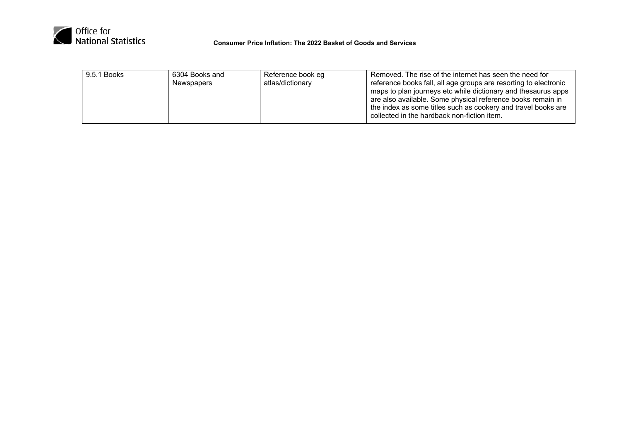

| 9.5.1 Books<br>6304 Books and<br>Reference book eg<br>atlas/dictionary<br>Newspapers | Removed. The rise of the internet has seen the need for<br>reference books fall, all age groups are resorting to electronic<br>maps to plan journeys etc while dictionary and thesaurus apps<br>are also available. Some physical reference books remain in<br>the index as some titles such as cookery and travel books are<br>collected in the hardback non-fiction item. |
|--------------------------------------------------------------------------------------|-----------------------------------------------------------------------------------------------------------------------------------------------------------------------------------------------------------------------------------------------------------------------------------------------------------------------------------------------------------------------------|
|--------------------------------------------------------------------------------------|-----------------------------------------------------------------------------------------------------------------------------------------------------------------------------------------------------------------------------------------------------------------------------------------------------------------------------------------------------------------------------|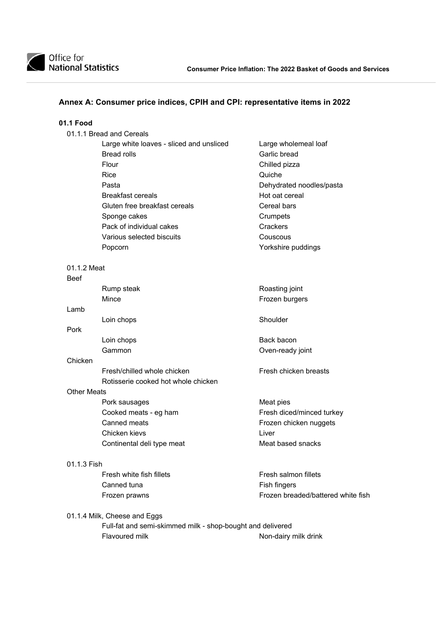### **Annex A: Consumer price indices, CPIH and CPI: representative items in 2022**

### **01.1 Food**

| 01.1.1 Bread and Cereals                 |                          |
|------------------------------------------|--------------------------|
| Large white loaves - sliced and unsliced | Large wholemeal loaf     |
| Bread rolls                              | Garlic bread             |
| Flour                                    | Chilled pizza            |
| Rice                                     | Quiche                   |
| Pasta                                    | Dehydrated noodles/pasta |
| Breakfast cereals                        | Hot oat cereal           |
| Gluten free breakfast cereals            | Cereal bars              |
| Sponge cakes                             | Crumpets                 |
| Pack of individual cakes                 | Crackers                 |
| Various selected biscuits                | Couscous                 |
| Popcorn                                  | Yorkshire puddings       |

01.1.2 Meat

Beef

|         | Rump steak | Roasting joint   |
|---------|------------|------------------|
|         | Mince      | Frozen burgers   |
| Lamb    |            |                  |
|         | Loin chops | Shoulder         |
| Pork    |            |                  |
|         | Loin chops | Back bacon       |
|         | Gammon     | Oven-ready joint |
| Chicken |            |                  |
|         |            |                  |

Fresh/chilled whole chicken Fresh chicken breasts Rotisserie cooked hot whole chicken

### Other Meats

Pork sausages Meat pies<br>
Cooked meats - eg ham Meat pies<br>
Fresh dice Canned meats **Frozen chicken** nuggets Chicken kievs **Liver** Continental deli type meat Meat based snacks

#### 01.1.3 Fish

Fresh white fish fillets Fresh salmon fillets Canned tuna Fish fingers

Fresh diced/minced turkey

Frozen prawns Frozen breaded/battered white fish

01.1.4 Milk, Cheese and Eggs

 Full-fat and semi-skimmed milk - shop-bought and delivered Flavoured milk **Non-dairy milk drink**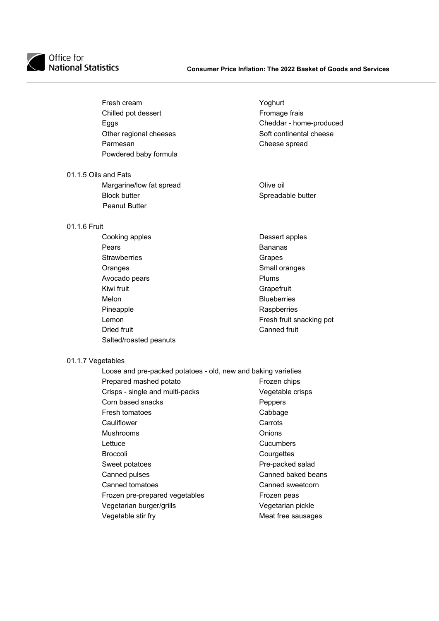

| Fresh cream            | Yoghurt  |
|------------------------|----------|
| Chilled pot dessert    | Fromag   |
| Eggs                   | Chedda   |
| Other regional cheeses | Soft cor |
| Parmesan               | Cheese   |
| Powdered baby formula  |          |
|                        |          |

- 01.1.5 Oils and Fats
	- Margarine/low fat spread **Olive oil** Block butter Spreadable butter Spreadable butter Peanut Butter

### 01.1.6 Fruit

Cooking apples<br>
Pears
Dessert apples
Dessert apples
Dessert<br>
Density
Dessert<br>
Density
Dessert apples Pears **Bananas** Strawberries **Grapes** Grapes Oranges Construction Construction Construction Construction Construction Construction Construction Construction<br>
Small oranges<br>
Small oranges<br>
Small oranges<br>
Construction Construction Construction Construction Construction Avocado pears Kiwi fruit **Grapefruit** Grapefruit Melon Blueberries Pineapple Raspberries Dried fruit **Canned fruit** Canned fruit Salted/roasted peanuts

### 01.1.7 Vegetables

| Loose and pre-packed potatoes - old, new and baking varieties |                    |  |
|---------------------------------------------------------------|--------------------|--|
| Prepared mashed potato                                        | Frozen chips       |  |
| Crisps - single and multi-packs                               | Vegetable crisps   |  |
| Corn based snacks                                             | Peppers            |  |
| Fresh tomatoes                                                | Cabbage            |  |
| Cauliflower                                                   | Carrots            |  |
| <b>Mushrooms</b>                                              | Onions             |  |
| Lettuce                                                       | Cucumbers          |  |
| <b>Broccoli</b>                                               | Courgettes         |  |
| Sweet potatoes                                                | Pre-packed salad   |  |
| Canned pulses                                                 | Canned baked beans |  |
| Canned tomatoes                                               | Canned sweetcorn   |  |
| Frozen pre-prepared vegetables                                | Frozen peas        |  |
| Vegetarian burger/grills                                      | Vegetarian pickle  |  |
| Vegetable stir fry                                            | Meat free sausages |  |
|                                                               |                    |  |

Fromage frais Cheddar - home-produced Soft continental cheese Cheese spread

Fresh fruit snacking pot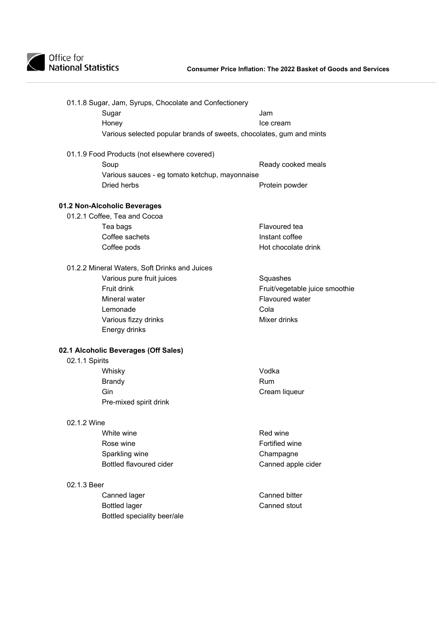

### **Consumer Price Inflation: The 2022 Basket of Goods and Services**

|                | 01.1.8 Sugar, Jam, Syrups, Chocolate and Confectionery               |                                |
|----------------|----------------------------------------------------------------------|--------------------------------|
|                | Sugar                                                                | Jam                            |
|                | Honey                                                                | Ice cream                      |
|                | Various selected popular brands of sweets, chocolates, gum and mints |                                |
|                | 01.1.9 Food Products (not elsewhere covered)                         |                                |
|                | Soup                                                                 | Ready cooked meals             |
|                | Various sauces - eg tomato ketchup, mayonnaise                       |                                |
|                | Dried herbs                                                          | Protein powder                 |
|                | 01.2 Non-Alcoholic Beverages                                         |                                |
|                | 01.2.1 Coffee, Tea and Cocoa                                         |                                |
|                | Tea bags                                                             | Flavoured tea                  |
|                | Coffee sachets                                                       | Instant coffee                 |
|                | Coffee pods                                                          | Hot chocolate drink            |
|                | 01.2.2 Mineral Waters, Soft Drinks and Juices                        |                                |
|                | Various pure fruit juices                                            | Squashes                       |
|                | Fruit drink                                                          | Fruit/vegetable juice smoothie |
|                | Mineral water                                                        | <b>Flavoured water</b>         |
|                | Lemonade                                                             | Cola                           |
|                | Various fizzy drinks                                                 | Mixer drinks                   |
|                | Energy drinks                                                        |                                |
|                | 02.1 Alcoholic Beverages (Off Sales)                                 |                                |
| 02.1.1 Spirits |                                                                      |                                |
|                | Whisky                                                               | Vodka                          |
|                | <b>Brandy</b>                                                        | Rum                            |
|                | Gin                                                                  | Cream liqueur                  |
|                | Pre-mixed spirit drink                                               |                                |
| 02.1.2 Wine    |                                                                      |                                |
|                | White wine                                                           | Red wine                       |
|                | Rose wine                                                            | Fortified wine                 |
|                | Sparkling wine                                                       | Champagne                      |
|                | <b>Bottled flavoured cider</b>                                       | Canned apple cider             |
| 02.1.3 Beer    |                                                                      |                                |
|                | Canned lager                                                         | Canned bitter                  |
|                | <b>Bottled lager</b>                                                 | Canned stout                   |
|                | Bottled speciality beer/ale                                          |                                |
|                |                                                                      |                                |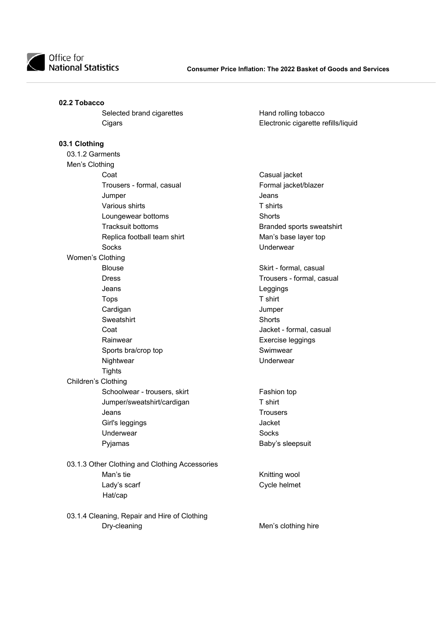

### **02.2 Tobacco**

Selected brand cigarettes Hand rolling tobacco

### **03.1 Clothing**

| 03.1.2 Garments  |                              |                   |
|------------------|------------------------------|-------------------|
| Men's Clothing   |                              |                   |
|                  | Coat                         | Casual jacl       |
|                  | Trousers - formal, casual    | Formal jacl       |
|                  | Jumper                       | Jeans             |
|                  | Various shirts               | T shirts          |
|                  | Loungewear bottoms           | <b>Shorts</b>     |
|                  | <b>Tracksuit bottoms</b>     | <b>Branded</b> sp |
|                  | Replica football team shirt  | Man's base        |
|                  | Socks                        | Underwear         |
| Women's Clothing |                              |                   |
|                  | <b>Blouse</b>                | Skirt - form      |
|                  | <b>Dress</b>                 | Trousers -        |
|                  | Jeans                        | Leggings          |
|                  | <b>Tops</b>                  | T shirt           |
|                  | Cardigan                     | Jumper            |
|                  | Sweatshirt                   | <b>Shorts</b>     |
|                  | Coat                         | Jacket - for      |
|                  | Rainwear                     | Exercise le       |
|                  | Sports bra/crop top          | Swimwear          |
|                  | Nightwear                    | Underwear         |
|                  | <b>Tights</b>                |                   |
|                  | Children's Clothing          |                   |
|                  | Schoolwear - trousers, skirt | Fashion to        |
|                  | Jumper/sweatshirt/cardigan   | T shirt           |
|                  | Jeans                        | <b>Trousers</b>   |
|                  | Girl's leggings              | Jacket            |
|                  | Underwear                    | <b>Socks</b>      |
|                  | Pyjamas                      | Baby's slee       |
|                  |                              |                   |

- 03.1.3 Other Clothing and Clothing Accessories Man's tie Knitting wool Lady's scarf **Cycle helmet** Hat/cap
- 03.1.4 Cleaning, Repair and Hire of Clothing Dry-cleaning **Men's clothing hire** Men's clothing hire

Cigars Electronic cigarette refills/liquid

Casual jacket Formal jacket/blazer Branded sports sweatshirt Man's base layer top Underwear

Skirt - formal, casual Trousers - formal, casual Leggings Jacket - formal, casual Exercise leggings Swimwear

Fashion top Baby's sleepsuit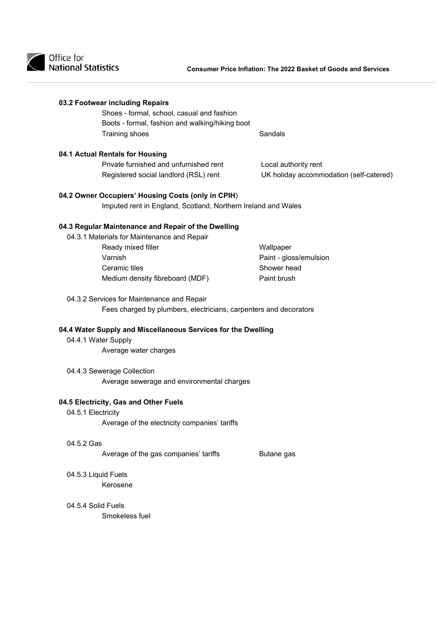

|                     | Shoes - formal, school, casual and fashion<br>Boots - formal, fashion and walking/hiking boot |                                         |
|---------------------|-----------------------------------------------------------------------------------------------|-----------------------------------------|
|                     | Training shoes                                                                                | Sandals                                 |
|                     | 04.1 Actual Rentals for Housing                                                               |                                         |
|                     | Private furnished and unfurnished rent                                                        | Local authority rent                    |
|                     | Registered social landlord (RSL) rent                                                         | UK holiday accommodation (self-catered) |
|                     | 04.2 Owner Occupiers' Housing Costs (only in CPIH)                                            |                                         |
|                     | Imputed rent in England, Scotland, Northern Ireland and Wales                                 |                                         |
|                     | 04.3 Regular Maintenance and Repair of the Dwelling                                           |                                         |
|                     | 04.3.1 Materials for Maintenance and Repair                                                   |                                         |
|                     | Ready mixed filler                                                                            | Wallpaper                               |
|                     | Varnish                                                                                       | Paint - gloss/emulsion                  |
|                     | Ceramic tiles                                                                                 | Shower head                             |
|                     | Medium density fibreboard (MDF)                                                               | Paint brush                             |
|                     | 04.3.2 Services for Maintenance and Repair                                                    |                                         |
|                     |                                                                                               |                                         |
|                     | Fees charged by plumbers, electricians, carpenters and decorators                             |                                         |
|                     | 04.4 Water Supply and Miscellaneous Services for the Dwelling                                 |                                         |
| 04.4.1 Water Supply |                                                                                               |                                         |
|                     | Average water charges                                                                         |                                         |
|                     | 04.4.3 Sewerage Collection                                                                    |                                         |
|                     | Average sewerage and environmental charges                                                    |                                         |
|                     | 04.5 Electricity, Gas and Other Fuels                                                         |                                         |
| 04.5.1 Electricity  |                                                                                               |                                         |
|                     | Average of the electricity companies' tariffs                                                 |                                         |
| 04.5.2 Gas          |                                                                                               |                                         |
|                     | Average of the gas companies' tariffs                                                         | Butane gas                              |
| 04.5.3 Liquid Fuels |                                                                                               |                                         |
|                     | Kerosene                                                                                      |                                         |
| 04.5.4 Solid Fuels  |                                                                                               |                                         |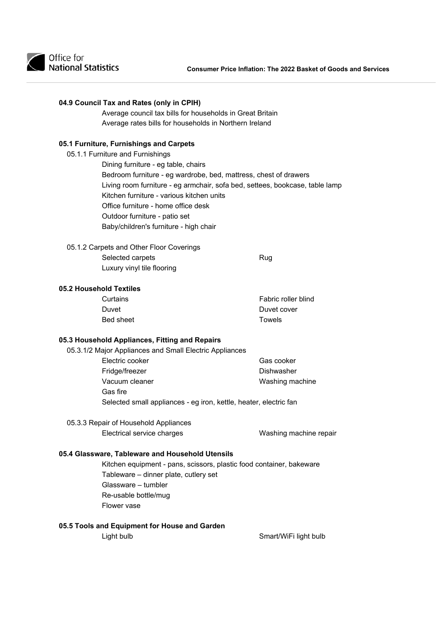

### **04.9 Council Tax and Rates (only in CPIH)**

 Average council tax bills for households in Great Britain Average rates bills for households in Northern Ireland

### **05.1 Furniture, Furnishings and Carpets**

05.1.1 Furniture and Furnishings

 Dining furniture - eg table, chairs Bedroom furniture - eg wardrobe, bed, mattress, chest of drawers Living room furniture - eg armchair, sofa bed, settees, bookcase, table lamp Kitchen furniture - various kitchen units Office furniture - home office desk Outdoor furniture - patio set Baby/children's furniture - high chair

05.1.2 Carpets and Other Floor Coverings Selected carpets Rug Luxury vinyl tile flooring

### **05.2 Household Textiles**

| Curtains         | Fabric roller blind |
|------------------|---------------------|
| Duvet            | Duvet cover         |
| <b>Bed sheet</b> | Towels              |

### **05.3 Household Appliances, Fitting and Repairs**

| 05.3.1/2 Major Appliances and Small Electric Appliances           |                 |
|-------------------------------------------------------------------|-----------------|
| Electric cooker                                                   | Gas cooker      |
| Fridge/freezer                                                    | Dishwasher      |
| Vacuum cleaner                                                    | Washing machine |
| Gas fire                                                          |                 |
| Selected small appliances - eg iron, kettle, heater, electric fan |                 |

# 05.3.3 Repair of Household Appliances

Electrical service charges Washing machine repair

### **05.4 Glassware, Tableware and Household Utensils**

 Kitchen equipment - pans, scissors, plastic food container, bakeware Tableware – dinner plate, cutlery set Glassware – tumbler Re-usable bottle/mug Flower vase

### **05.5 Tools and Equipment for House and Garden**

Light bulb Smart/WiFi light bulb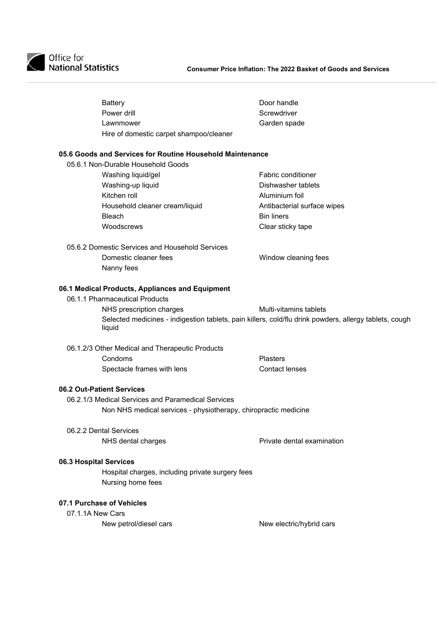| <b>Battery</b>                                                  | Door handle                                                                                            |
|-----------------------------------------------------------------|--------------------------------------------------------------------------------------------------------|
| Power drill                                                     | Screwdriver                                                                                            |
| Lawnmower                                                       | Garden spade                                                                                           |
| Hire of domestic carpet shampoo/cleaner                         |                                                                                                        |
| 05.6 Goods and Services for Routine Household Maintenance       |                                                                                                        |
| 05.6.1 Non-Durable Household Goods                              |                                                                                                        |
| Washing liquid/gel                                              | <b>Fabric conditioner</b>                                                                              |
| Washing-up liquid                                               | Dishwasher tablets                                                                                     |
| Kitchen roll                                                    | Aluminium foil                                                                                         |
| Household cleaner cream/liquid                                  | Antibacterial surface wipes                                                                            |
| <b>Bleach</b>                                                   | <b>Bin liners</b>                                                                                      |
| Woodscrews                                                      | Clear sticky tape                                                                                      |
| 05.6.2 Domestic Services and Household Services                 |                                                                                                        |
| Domestic cleaner fees                                           | Window cleaning fees                                                                                   |
| Nanny fees                                                      |                                                                                                        |
| 06.1 Medical Products, Appliances and Equipment                 |                                                                                                        |
| 06.1.1 Pharmaceutical Products                                  |                                                                                                        |
| NHS prescription charges                                        | Multi-vitamins tablets                                                                                 |
| liquid                                                          | Selected medicines - indigestion tablets, pain killers, cold/flu drink powders, allergy tablets, cough |
| 06.1.2/3 Other Medical and Therapeutic Products                 |                                                                                                        |
| Condoms                                                         | <b>Plasters</b>                                                                                        |
| Spectacle frames with lens                                      | <b>Contact lenses</b>                                                                                  |
| 06.2 Out-Patient Services                                       |                                                                                                        |
| 06.2.1/3 Medical Services and Paramedical Services              |                                                                                                        |
| Non NHS medical services - physiotherapy, chiropractic medicine |                                                                                                        |
| 06.2.2 Dental Services                                          |                                                                                                        |
| NHS dental charges                                              | Private dental examination                                                                             |
| 06.3 Hospital Services                                          |                                                                                                        |
| Hospital charges, including private surgery fees                |                                                                                                        |
| Nursing home fees                                               |                                                                                                        |
| 07.1 Purchase of Vehicles                                       |                                                                                                        |
| 07.1.1A New Cars                                                |                                                                                                        |
|                                                                 |                                                                                                        |

New petrol/diesel cars New electric/hybrid cars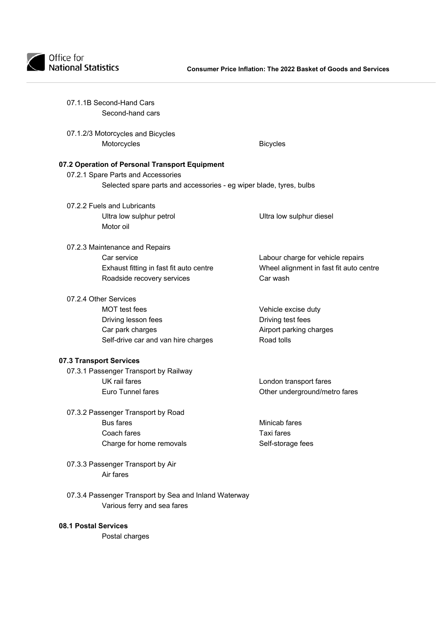

| 07.1.1B Second-Hand Cars<br>Second-hand cars                                                              |                                         |
|-----------------------------------------------------------------------------------------------------------|-----------------------------------------|
| 07.1.2/3 Motorcycles and Bicycles<br>Motorcycles                                                          | <b>Bicycles</b>                         |
| 07.2 Operation of Personal Transport Equipment                                                            |                                         |
| 07.2.1 Spare Parts and Accessories<br>Selected spare parts and accessories - eg wiper blade, tyres, bulbs |                                         |
| 07.2.2 Fuels and Lubricants<br>Ultra low sulphur petrol<br>Motor oil                                      | Ultra low sulphur diesel                |
| 07.2.3 Maintenance and Repairs                                                                            |                                         |
| Car service                                                                                               | Labour charge for vehicle repairs       |
| Exhaust fitting in fast fit auto centre                                                                   | Wheel alignment in fast fit auto centre |
| Roadside recovery services                                                                                | Car wash                                |
| 07.2.4 Other Services                                                                                     |                                         |
| MOT test fees                                                                                             | Vehicle excise duty                     |
| Driving lesson fees                                                                                       | Driving test fees                       |
| Car park charges                                                                                          | Airport parking charges                 |
| Self-drive car and van hire charges                                                                       | Road tolls                              |
| 07.3 Transport Services                                                                                   |                                         |
| 07.3.1 Passenger Transport by Railway                                                                     |                                         |
| UK rail fares                                                                                             | London transport fares                  |
| Euro Tunnel fares                                                                                         | Other underground/metro fares           |
| 07.3.2 Passenger Transport by Road                                                                        |                                         |
| <b>Bus fares</b>                                                                                          | Minicab fares                           |
| Coach fares                                                                                               | <b>Taxi fares</b>                       |
| Charge for home removals                                                                                  | Self-storage fees                       |
| 07.3.3 Passenger Transport by Air<br>Air fares                                                            |                                         |
| 07.3.4 Passenger Transport by Sea and Inland Waterway<br>Various ferry and sea fares                      |                                         |
|                                                                                                           |                                         |

### **08.1 Postal Services**

Postal charges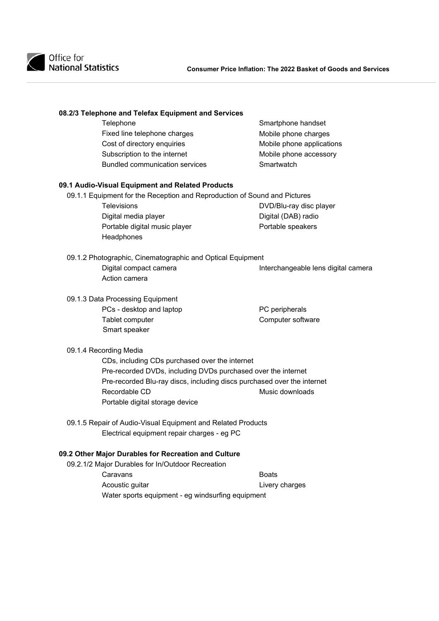

### **08.2/3 Telephone and Telefax Equipment and Services**

| Smartphone handset        |
|---------------------------|
| Mobile phone charges      |
| Mobile phone applications |
| Mobile phone accessory    |
| Smartwatch                |
|                           |

### **09.1 Audio-Visual Equipment and Related Products**

09.1.1 Equipment for the Reception and Reproduction of Sound and Pictures

Digital media player **Digital** (DAB) radio Portable digital music player example a Portable speakers **Headphones** 

Televisions DVD/Blu-ray disc player

### 09.1.2 Photographic, Cinematographic and Optical Equipment Digital compact camera **Interchangeable lens digital camera** Action camera

## 09.1.3 Data Processing Equipment PCs - desktop and laptop<br>
Tablet computer<br>
Computer softv Smart speaker

Computer software

### 09.1.4 Recording Media

 CDs, including CDs purchased over the internet Pre-recorded DVDs, including DVDs purchased over the internet Pre-recorded Blu-ray discs, including discs purchased over the internet Recordable CD Music downloads Portable digital storage device

09.1.5 Repair of Audio-Visual Equipment and Related Products Electrical equipment repair charges - eg PC

### **09.2 Other Major Durables for Recreation and Culture**

09.2.1/2 Major Durables for In/Outdoor Recreation

Caravans **Boats** Acoustic guitar **Livery charges** Water sports equipment - eg windsurfing equipment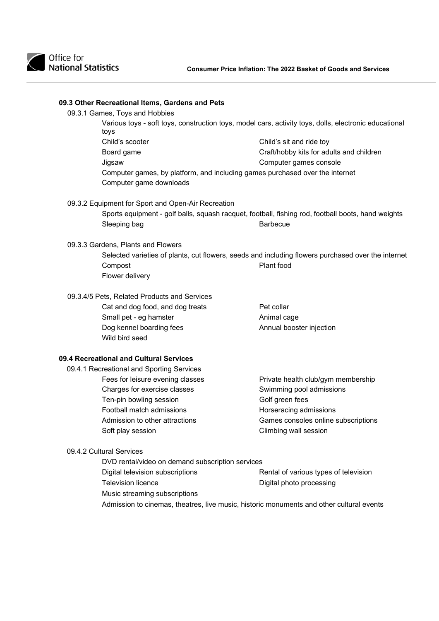

| Various toys - soft toys, construction toys, model cars, activity toys, dolls, electronic educational |                                                                              |                                                                                                    |  |
|-------------------------------------------------------------------------------------------------------|------------------------------------------------------------------------------|----------------------------------------------------------------------------------------------------|--|
|                                                                                                       | toys                                                                         |                                                                                                    |  |
|                                                                                                       | Child's scooter                                                              | Child's sit and ride toy                                                                           |  |
|                                                                                                       | Board game                                                                   | Craft/hobby kits for adults and children                                                           |  |
|                                                                                                       | Jigsaw                                                                       | Computer games console                                                                             |  |
|                                                                                                       | Computer games, by platform, and including games purchased over the internet |                                                                                                    |  |
|                                                                                                       | Computer game downloads                                                      |                                                                                                    |  |
|                                                                                                       | 09.3.2 Equipment for Sport and Open-Air Recreation                           |                                                                                                    |  |
|                                                                                                       |                                                                              | Sports equipment - golf balls, squash racquet, football, fishing rod, football boots, hand weights |  |
|                                                                                                       | Sleeping bag                                                                 | <b>Barbecue</b>                                                                                    |  |
|                                                                                                       | 09.3.3 Gardens, Plants and Flowers                                           |                                                                                                    |  |
|                                                                                                       |                                                                              | Selected varieties of plants, cut flowers, seeds and including flowers purchased over the internet |  |
|                                                                                                       | Compost                                                                      | Plant food                                                                                         |  |
|                                                                                                       | Flower delivery                                                              |                                                                                                    |  |
|                                                                                                       | 09.3.4/5 Pets, Related Products and Services                                 |                                                                                                    |  |
|                                                                                                       | Cat and dog food, and dog treats                                             | Pet collar                                                                                         |  |
|                                                                                                       | Small pet - eg hamster                                                       | Animal cage                                                                                        |  |
|                                                                                                       | Dog kennel boarding fees                                                     | Annual booster injection                                                                           |  |
|                                                                                                       | Wild bird seed                                                               |                                                                                                    |  |
|                                                                                                       | 09.4 Recreational and Cultural Services                                      |                                                                                                    |  |
|                                                                                                       | 09.4.1 Recreational and Sporting Services                                    |                                                                                                    |  |
|                                                                                                       | Fees for leisure evening classes                                             | Private health club/gym membership                                                                 |  |
|                                                                                                       | Charges for exercise classes                                                 | Swimming pool admissions                                                                           |  |
|                                                                                                       | Ten-pin bowling session                                                      | Golf green fees                                                                                    |  |
|                                                                                                       | Football match admissions                                                    | Horseracing admissions                                                                             |  |
|                                                                                                       | Admission to other attractions                                               | Games consoles online subscriptions                                                                |  |
|                                                                                                       | Soft play session                                                            | Climbing wall session                                                                              |  |
|                                                                                                       | 09.4.2 Cultural Services                                                     |                                                                                                    |  |
|                                                                                                       | DVD rental/video on demand subscription services                             |                                                                                                    |  |
|                                                                                                       | Digital television subscriptions                                             | Rental of various types of television                                                              |  |
|                                                                                                       | <b>Television licence</b>                                                    | Digital photo processing                                                                           |  |
|                                                                                                       | Music streaming subscriptions                                                |                                                                                                    |  |
|                                                                                                       |                                                                              | Admission to cinemas, theatres, live music, historic monuments and other cultural events           |  |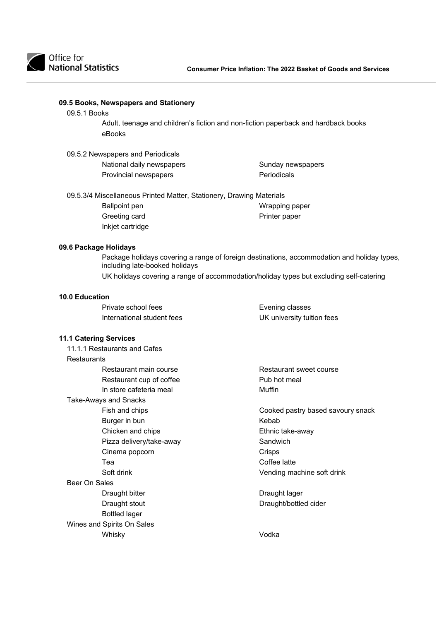

**09.5 Books, Newspapers and Stationery** 

| 09.5.1 Books       |                                                                      |                                                                                             |
|--------------------|----------------------------------------------------------------------|---------------------------------------------------------------------------------------------|
|                    |                                                                      | Adult, teenage and children's fiction and non-fiction paperback and hardback books          |
|                    | eBooks                                                               |                                                                                             |
|                    | 09.5.2 Newspapers and Periodicals                                    |                                                                                             |
|                    | National daily newspapers                                            | Sunday newspapers                                                                           |
|                    | Provincial newspapers                                                | Periodicals                                                                                 |
|                    | 09.5.3/4 Miscellaneous Printed Matter, Stationery, Drawing Materials |                                                                                             |
|                    | <b>Ballpoint pen</b>                                                 | Wrapping paper                                                                              |
|                    | Greeting card                                                        | Printer paper                                                                               |
|                    | Inkjet cartridge                                                     |                                                                                             |
|                    | 09.6 Package Holidays                                                |                                                                                             |
|                    | including late-booked holidays                                       | Package holidays covering a range of foreign destinations, accommodation and holiday types, |
|                    |                                                                      | UK holidays covering a range of accommodation/holiday types but excluding self-catering     |
| 10.0 Education     |                                                                      |                                                                                             |
|                    | Private school fees                                                  | Evening classes                                                                             |
|                    | International student fees                                           | UK university tuition fees                                                                  |
|                    | <b>11.1 Catering Services</b>                                        |                                                                                             |
|                    | 11.1.1 Restaurants and Cafes                                         |                                                                                             |
| <b>Restaurants</b> |                                                                      |                                                                                             |
|                    | Restaurant main course                                               | Restaurant sweet course                                                                     |
|                    | Restaurant cup of coffee                                             | Pub hot meal                                                                                |
|                    | In store cafeteria meal                                              | Muffin                                                                                      |
|                    | <b>Take-Aways and Snacks</b>                                         |                                                                                             |
|                    | Fish and chips                                                       | Cooked pastry based savoury snack                                                           |
|                    | Burger in bun                                                        | Kebab                                                                                       |
|                    | Chicken and chips                                                    | Ethnic take-away                                                                            |
|                    | Pizza delivery/take-away                                             | Sandwich                                                                                    |
|                    | Cinema popcorn                                                       | Crisps                                                                                      |
|                    | Tea                                                                  | Coffee latte                                                                                |
|                    | Soft drink                                                           | Vending machine soft drink                                                                  |
| Beer On Sales      |                                                                      |                                                                                             |
|                    | Draught bitter                                                       | Draught lager                                                                               |
|                    | Draught stout                                                        | Draught/bottled cider                                                                       |
|                    | <b>Bottled lager</b>                                                 |                                                                                             |

Wines and Spirits On Sales Whisky Vodka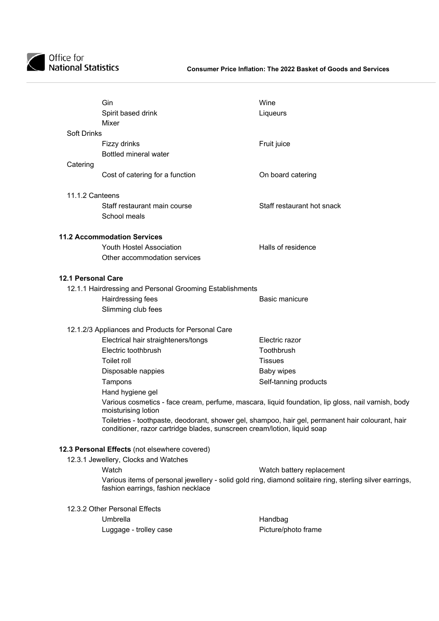

|                           | Gin<br>Spirit based drink<br>Mixer                                       | Wine<br>Liqueurs                                                                                         |
|---------------------------|--------------------------------------------------------------------------|----------------------------------------------------------------------------------------------------------|
| <b>Soft Drinks</b>        | Fizzy drinks<br><b>Bottled mineral water</b>                             | Fruit juice                                                                                              |
| Catering                  | Cost of catering for a function                                          | On board catering                                                                                        |
| 11.1.2 Canteens           |                                                                          |                                                                                                          |
|                           | Staff restaurant main course<br>School meals                             | Staff restaurant hot snack                                                                               |
|                           | <b>11.2 Accommodation Services</b>                                       |                                                                                                          |
|                           | <b>Youth Hostel Association</b>                                          | Halls of residence                                                                                       |
|                           | Other accommodation services                                             |                                                                                                          |
| <b>12.1 Personal Care</b> |                                                                          |                                                                                                          |
|                           | 12.1.1 Hairdressing and Personal Grooming Establishments                 |                                                                                                          |
|                           | Hairdressing fees                                                        | <b>Basic manicure</b>                                                                                    |
|                           | Slimming club fees                                                       |                                                                                                          |
|                           | 12.1.2/3 Appliances and Products for Personal Care                       |                                                                                                          |
|                           | Electrical hair straighteners/tongs                                      | Electric razor                                                                                           |
|                           | Electric toothbrush                                                      | Toothbrush                                                                                               |
|                           | Toilet roll                                                              | <b>Tissues</b>                                                                                           |
|                           | Disposable nappies                                                       | Baby wipes                                                                                               |
|                           | Tampons                                                                  | Self-tanning products                                                                                    |
|                           | Hand hygiene gel                                                         |                                                                                                          |
|                           | moisturising lotion                                                      | Various cosmetics - face cream, perfume, mascara, liquid foundation, lip gloss, nail varnish, body       |
|                           | conditioner, razor cartridge blades, sunscreen cream/lotion, liquid soap | Toiletries - toothpaste, deodorant, shower gel, shampoo, hair gel, permanent hair colourant, hair        |
|                           | 12.3 Personal Effects (not elsewhere covered)                            |                                                                                                          |
|                           | 12.3.1 Jewellery, Clocks and Watches                                     |                                                                                                          |
|                           | Watch                                                                    | Watch battery replacement                                                                                |
|                           | fashion earrings, fashion necklace                                       | Various items of personal jewellery - solid gold ring, diamond solitaire ring, sterling silver earrings, |
|                           | 12.3.2 Other Personal Effects                                            |                                                                                                          |
|                           | Umbrella                                                                 | Handbag                                                                                                  |
|                           | Luggage - trolley case                                                   | Picture/photo frame                                                                                      |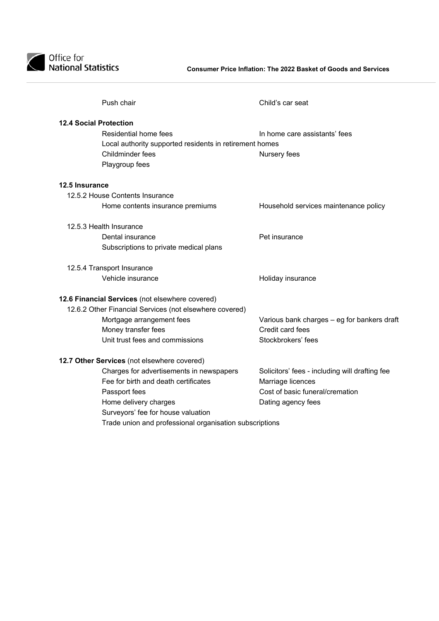

| Push chair                                              | Child's car seat                               |
|---------------------------------------------------------|------------------------------------------------|
| <b>12.4 Social Protection</b>                           |                                                |
| Residential home fees                                   | In home care assistants' fees                  |
| Local authority supported residents in retirement homes |                                                |
| <b>Childminder fees</b>                                 | Nursery fees                                   |
| Playgroup fees                                          |                                                |
| 12.5 Insurance                                          |                                                |
| 12.5.2 House Contents Insurance                         |                                                |
| Home contents insurance premiums                        | Household services maintenance policy          |
|                                                         |                                                |
| 12.5.3 Health Insurance<br>Dental insurance             | Pet insurance                                  |
| Subscriptions to private medical plans                  |                                                |
|                                                         |                                                |
| 12.5.4 Transport Insurance                              |                                                |
| Vehicle insurance                                       | Holiday insurance                              |
| 12.6 Financial Services (not elsewhere covered)         |                                                |
| 12.6.2 Other Financial Services (not elsewhere covered) |                                                |
| Mortgage arrangement fees                               | Various bank charges - eg for bankers draft    |
| Money transfer fees                                     | Credit card fees                               |
| Unit trust fees and commissions                         | Stockbrokers' fees                             |
| 12.7 Other Services (not elsewhere covered)             |                                                |
| Charges for advertisements in newspapers                | Solicitors' fees - including will drafting fee |
| Fee for birth and death certificates                    | Marriage licences                              |
| Passport fees                                           | Cost of basic funeral/cremation                |
| Home delivery charges                                   | Dating agency fees                             |
| Surveyors' fee for house valuation                      |                                                |
| Trade union and professional organisation subscriptions |                                                |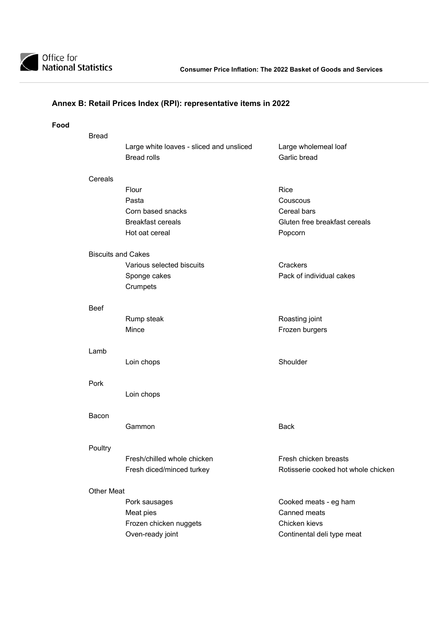

### **Annex B: Retail Prices Index (RPI): representative items in 2022**

| <b>Bread</b>      |                                                                |                                      |
|-------------------|----------------------------------------------------------------|--------------------------------------|
|                   | Large white loaves - sliced and unsliced<br><b>Bread rolls</b> | Large wholemeal loaf<br>Garlic bread |
| Cereals           |                                                                |                                      |
|                   | Flour                                                          | Rice                                 |
|                   | Pasta                                                          | Couscous                             |
|                   | Corn based snacks                                              | Cereal bars                          |
|                   | <b>Breakfast cereals</b>                                       | Gluten free breakfast cereals        |
|                   | Hot oat cereal                                                 | Popcorn                              |
|                   | <b>Biscuits and Cakes</b>                                      |                                      |
|                   | Various selected biscuits                                      | Crackers                             |
|                   | Sponge cakes                                                   | Pack of individual cakes             |
|                   | Crumpets                                                       |                                      |
| <b>Beef</b>       |                                                                |                                      |
|                   | Rump steak                                                     | Roasting joint                       |
|                   | Mince                                                          | Frozen burgers                       |
| Lamb              |                                                                |                                      |
|                   | Loin chops                                                     | Shoulder                             |
| Pork              |                                                                |                                      |
|                   | Loin chops                                                     |                                      |
| Bacon             |                                                                |                                      |
|                   | Gammon                                                         | <b>Back</b>                          |
| Poultry           |                                                                |                                      |
|                   | Fresh/chilled whole chicken                                    | Fresh chicken breasts                |
|                   | Fresh diced/minced turkey                                      | Rotisserie cooked hot whole chicken  |
| <b>Other Meat</b> |                                                                |                                      |
|                   | Pork sausages                                                  | Cooked meats - eg ham                |
|                   | Meat pies                                                      | Canned meats                         |
|                   | Frozen chicken nuggets                                         | Chicken kievs                        |
|                   | Oven-ready joint                                               | Continental deli type meat           |
|                   |                                                                |                                      |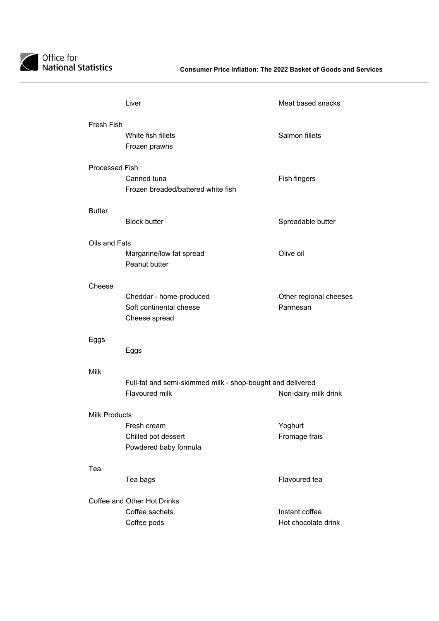

|                       | Liver                                                      | Meat based snacks      |
|-----------------------|------------------------------------------------------------|------------------------|
| Fresh Fish            |                                                            |                        |
|                       | White fish fillets                                         | Salmon fillets         |
|                       | Frozen prawns                                              |                        |
|                       |                                                            |                        |
| <b>Processed Fish</b> | Canned tuna                                                |                        |
|                       | Frozen breaded/battered white fish                         | Fish fingers           |
|                       |                                                            |                        |
| <b>Butter</b>         |                                                            |                        |
|                       | <b>Block butter</b>                                        | Spreadable butter      |
|                       |                                                            |                        |
| Oils and Fats         |                                                            |                        |
|                       | Margarine/low fat spread                                   | Olive oil              |
|                       | Peanut butter                                              |                        |
| Cheese                |                                                            |                        |
|                       | Cheddar - home-produced                                    | Other regional cheeses |
|                       | Soft continental cheese                                    | Parmesan               |
|                       | Cheese spread                                              |                        |
|                       |                                                            |                        |
| Eggs                  |                                                            |                        |
|                       | Eggs                                                       |                        |
| <b>Milk</b>           |                                                            |                        |
|                       | Full-fat and semi-skimmed milk - shop-bought and delivered |                        |
|                       | Flavoured milk                                             | Non-dairy milk drink   |
|                       |                                                            |                        |
| <b>Milk Products</b>  |                                                            |                        |
|                       | Fresh cream                                                | Yoghurt                |
|                       | Chilled pot dessert                                        | Fromage frais          |
|                       | Powdered baby formula                                      |                        |
| Tea                   |                                                            |                        |
|                       | Tea bags                                                   | Flavoured tea          |
|                       |                                                            |                        |
|                       | Coffee and Other Hot Drinks                                |                        |
|                       | Coffee sachets                                             | Instant coffee         |
|                       | Coffee pods                                                | Hot chocolate drink    |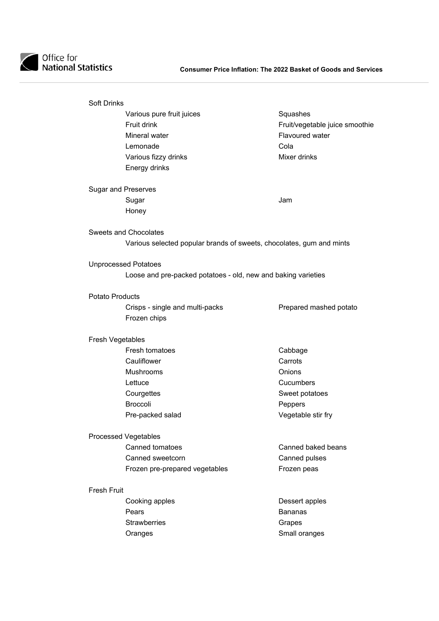

| <b>Soft Drinks</b>     |                                                                      |                                |
|------------------------|----------------------------------------------------------------------|--------------------------------|
|                        | Various pure fruit juices                                            | Squashes                       |
|                        | <b>Fruit drink</b>                                                   | Fruit/vegetable juice smoothie |
|                        | Mineral water                                                        | Flavoured water                |
|                        | Lemonade                                                             | Cola                           |
|                        | Various fizzy drinks                                                 | Mixer drinks                   |
|                        | Energy drinks                                                        |                                |
|                        | <b>Sugar and Preserves</b>                                           |                                |
|                        | Sugar                                                                | Jam                            |
|                        | Honey                                                                |                                |
|                        | <b>Sweets and Chocolates</b>                                         |                                |
|                        | Various selected popular brands of sweets, chocolates, gum and mints |                                |
|                        | <b>Unprocessed Potatoes</b>                                          |                                |
|                        | Loose and pre-packed potatoes - old, new and baking varieties        |                                |
| <b>Potato Products</b> |                                                                      |                                |
|                        | Crisps - single and multi-packs<br>Frozen chips                      | Prepared mashed potato         |
| Fresh Vegetables       |                                                                      |                                |
|                        | Fresh tomatoes                                                       | Cabbage                        |
|                        | Cauliflower                                                          | Carrots                        |
|                        | <b>Mushrooms</b>                                                     | <b>Onions</b>                  |
|                        | Lettuce                                                              | Cucumbers                      |
|                        | Courgettes                                                           | Sweet potatoes                 |
|                        | <b>Broccoli</b>                                                      | Peppers                        |
|                        | Pre-packed salad                                                     | Vegetable stir fry             |
|                        | <b>Processed Vegetables</b>                                          |                                |
|                        | <b>Canned tomatoes</b>                                               | Canned baked beans             |
|                        | Canned sweetcorn                                                     | Canned pulses                  |
|                        |                                                                      |                                |
|                        | Frozen pre-prepared vegetables                                       | Frozen peas                    |
| <b>Fresh Fruit</b>     |                                                                      |                                |
|                        | Cooking apples                                                       | Dessert apples                 |
|                        | Pears                                                                | <b>Bananas</b>                 |
|                        | <b>Strawberries</b>                                                  | Grapes                         |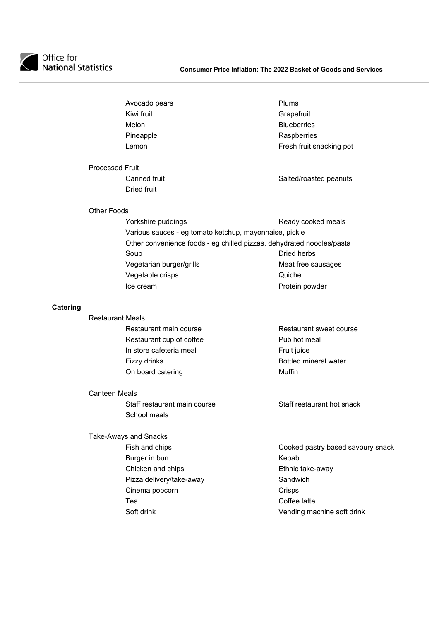

| Avocado pears | Plums        |
|---------------|--------------|
| Kiwi fruit    | Grape        |
| Melon         | <b>Blueb</b> |
| Pineapple     | Raspb        |
| Lemon         | Fresh        |

### Grapefruit **Blueberries Raspberries** Fresh fruit snacking pot

### Processed Fruit Canned fruit Canned Fruit Canned Fruit Dried fruit

### Other Foods

| Yorkshire puddings                                     | Ready cooked meals                                                    |
|--------------------------------------------------------|-----------------------------------------------------------------------|
| Various sauces - eg tomato ketchup, mayonnaise, pickle |                                                                       |
|                                                        | Other convenience foods - eg chilled pizzas, dehydrated noodles/pasta |
| Soup                                                   | Dried herbs                                                           |
| Vegetarian burger/grills                               | Meat free sausages                                                    |
| Vegetable crisps                                       | Quiche                                                                |
| Ice cream                                              | Protein powder                                                        |

### **Catering**

| <b>Restaurant Meals</b>  |                         |
|--------------------------|-------------------------|
| Restaurant main course   | Restaurant sweet course |
| Restaurant cup of coffee | Pub hot meal            |
| In store cafeteria meal  | Fruit juice             |
| Fizzy drinks             | Bottled mineral water   |
| On board catering        | Muffin                  |
|                          |                         |

### Canteen Meals

Take-Aways and Snacks

Staff restaurant main course Staff restaurant hot snack School meals

- Fish and chips **Cooked pastry based savoury snack**
- Burger in bun **Kebab** Chicken and chips **Ethnic take-away** Pizza delivery/take-away **Sandwich** Cinema popcorn Crisps Tea **Coffee** latte Soft drink Soft drink Vending machine soft drink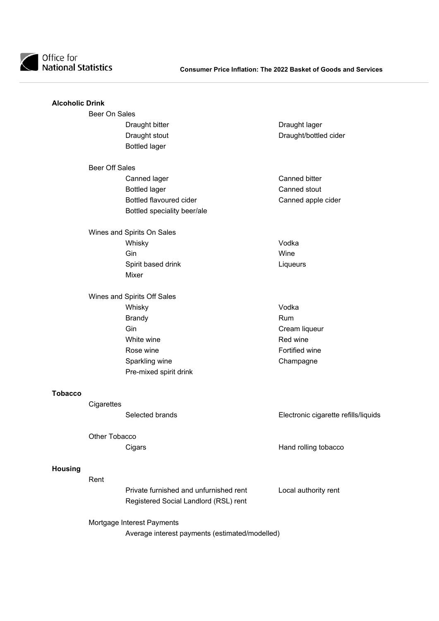

| <b>Alcoholic Drink</b> |                       |                                                |                                      |
|------------------------|-----------------------|------------------------------------------------|--------------------------------------|
|                        | Beer On Sales         |                                                |                                      |
|                        |                       | Draught bitter                                 | Draught lager                        |
|                        |                       | Draught stout                                  | Draught/bottled cider                |
|                        |                       | <b>Bottled lager</b>                           |                                      |
|                        | <b>Beer Off Sales</b> |                                                |                                      |
|                        |                       | Canned lager                                   | <b>Canned bitter</b>                 |
|                        |                       | <b>Bottled lager</b>                           | Canned stout                         |
|                        |                       | Bottled flavoured cider                        | Canned apple cider                   |
|                        |                       | Bottled speciality beer/ale                    |                                      |
|                        |                       | Wines and Spirits On Sales                     |                                      |
|                        |                       | Whisky                                         | Vodka                                |
|                        |                       | Gin                                            | Wine                                 |
|                        |                       | Spirit based drink<br>Mixer                    | Liqueurs                             |
|                        |                       | Wines and Spirits Off Sales                    |                                      |
|                        |                       | Whisky                                         | Vodka                                |
|                        |                       | <b>Brandy</b>                                  | Rum                                  |
|                        |                       | Gin                                            | Cream liqueur                        |
|                        |                       | White wine                                     | Red wine                             |
|                        |                       | Rose wine                                      | Fortified wine                       |
|                        |                       | Sparkling wine                                 | Champagne                            |
|                        |                       | Pre-mixed spirit drink                         |                                      |
| <b>Tobacco</b>         |                       |                                                |                                      |
|                        | Cigarettes            |                                                |                                      |
|                        |                       | Selected brands                                | Electronic cigarette refills/liquids |
|                        | Other Tobacco         |                                                |                                      |
|                        |                       | Cigars                                         | Hand rolling tobacco                 |
| <b>Housing</b>         |                       |                                                |                                      |
|                        | Rent                  |                                                |                                      |
|                        |                       | Private furnished and unfurnished rent         | Local authority rent                 |
|                        |                       | Registered Social Landlord (RSL) rent          |                                      |
|                        |                       | Mortgage Interest Payments                     |                                      |
|                        |                       | Average interest payments (estimated/modelled) |                                      |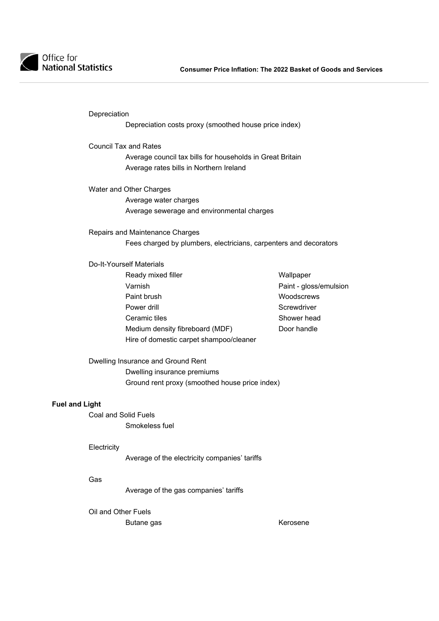

Depreciation

Depreciation costs proxy (smoothed house price index)

Council Tax and Rates

 Average council tax bills for households in Great Britain Average rates bills in Northern Ireland

Water and Other Charges Average water charges Average sewerage and environmental charges

Repairs and Maintenance Charges Fees charged by plumbers, electricians, carpenters and decorators

Do-It-Yourself Materials

- Ready mixed filler Nearly Wallpaper Varnish Paint - gloss/emulsion Paint brush Woodscrews Power drill **Screwdriver Power drill** Ceramic tiles Shower head Medium density fibreboard (MDF) Door handle Hire of domestic carpet shampoo/cleaner
	-

Dwelling Insurance and Ground Rent Dwelling insurance premiums Ground rent proxy (smoothed house price index)

### **Fuel and Light**

Coal and Solid Fuels Smokeless fuel

### **Electricity**

Average of the electricity companies' tariffs

### Gas

Average of the gas companies' tariffs

Oil and Other Fuels

Butane gas **Kerosene**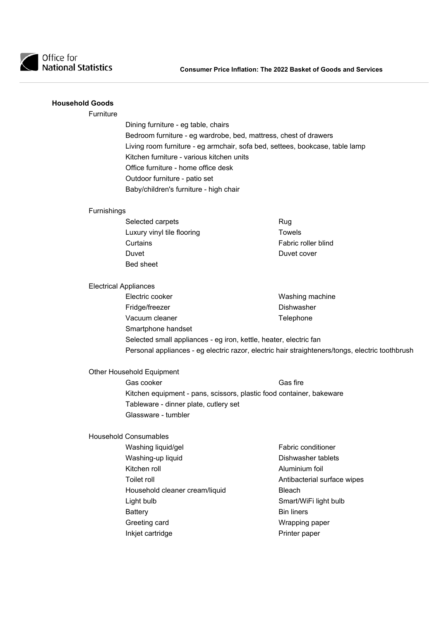

### **Household Goods**

### Furniture

 Dining furniture - eg table, chairs Bedroom furniture - eg wardrobe, bed, mattress, chest of drawers Living room furniture - eg armchair, sofa bed, settees, bookcase, table lamp Kitchen furniture - various kitchen units Office furniture - home office desk Outdoor furniture - patio set Baby/children's furniture - high chair

#### Furnishings

| Selected carpets           | Rug                 |
|----------------------------|---------------------|
| Luxury vinyl tile flooring | Towels              |
| Curtains                   | Fabric roller blind |
| Duvet                      | Duvet cover         |
| <b>Bed sheet</b>           |                     |

### Electrical Appliances

Electric cooker **Electric** cooker **Washing machine** Fridge/freezer **Dishwasher** Dishwasher Vacuum cleaner Telephone Smartphone handset Selected small appliances - eg iron, kettle, heater, electric fan Personal appliances - eg electric razor, electric hair straighteners/tongs, electric toothbrush

Other Household Equipment

Gas cooker Gas fire Kitchen equipment - pans, scissors, plastic food container, bakeware Tableware - dinner plate, cutlery set Glassware - tumbler

### Household Consumables

Washing liquid/gel **Fabric conditioner** Washing-up liquid **Dishwasher tablets** Kitchen roll **Aluminium foil** Toilet roll **Toilet roll Toilet roll Antibacterial surface wipes** Household cleaner cream/liquid Bleach Light bulb Smart/WiFi light bulb Battery **Bin liners** Greeting card **Wrapping paper** Inkjet cartridge **Printer paper** Printer paper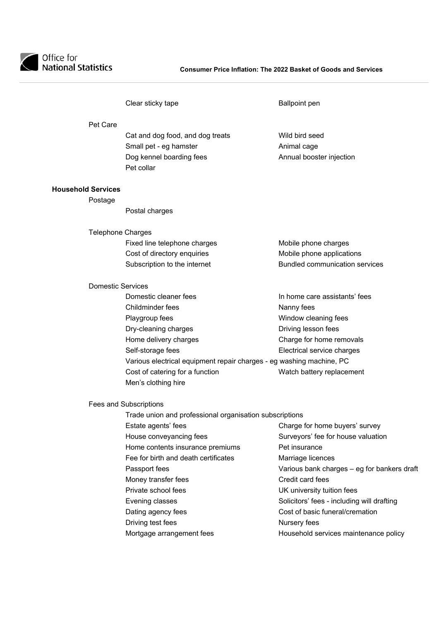

|                           |                          | Clear sticky tape                                                    | <b>Ballpoint pen</b>                        |
|---------------------------|--------------------------|----------------------------------------------------------------------|---------------------------------------------|
|                           | Pet Care                 |                                                                      |                                             |
|                           |                          | Cat and dog food, and dog treats                                     | Wild bird seed                              |
|                           |                          | Small pet - eg hamster                                               | Animal cage                                 |
|                           |                          | Dog kennel boarding fees                                             | Annual booster injection                    |
|                           |                          | Pet collar                                                           |                                             |
| <b>Household Services</b> |                          |                                                                      |                                             |
|                           | Postage                  |                                                                      |                                             |
|                           |                          | Postal charges                                                       |                                             |
|                           | <b>Telephone Charges</b> |                                                                      |                                             |
|                           |                          | Fixed line telephone charges                                         | Mobile phone charges                        |
|                           |                          | Cost of directory enquiries                                          | Mobile phone applications                   |
|                           |                          | Subscription to the internet                                         | <b>Bundled communication services</b>       |
|                           | <b>Domestic Services</b> |                                                                      |                                             |
|                           |                          | Domestic cleaner fees                                                | In home care assistants' fees               |
|                           |                          | Childminder fees                                                     | Nanny fees                                  |
|                           |                          | Playgroup fees                                                       | Window cleaning fees                        |
|                           |                          | Dry-cleaning charges                                                 | Driving lesson fees                         |
|                           |                          | Home delivery charges                                                | Charge for home removals                    |
|                           |                          | Self-storage fees                                                    | Electrical service charges                  |
|                           |                          | Various electrical equipment repair charges - eg washing machine, PC |                                             |
|                           |                          | Cost of catering for a function                                      | Watch battery replacement                   |
|                           |                          | Men's clothing hire                                                  |                                             |
|                           |                          | Fees and Subscriptions                                               |                                             |
|                           |                          | Trade union and professional organisation subscriptions              |                                             |
|                           |                          | Estate agents' fees <b>contrary to the extra</b>                     | Charge for home buyers' survey              |
|                           |                          | House conveyancing fees                                              | Surveyors' fee for house valuation          |
|                           |                          | Home contents insurance premiums                                     | Pet insurance                               |
|                           |                          | Fee for birth and death certificates                                 | Marriage licences                           |
|                           |                          | Passport fees                                                        | Various bank charges - eg for bankers draft |
|                           |                          | Money transfer fees                                                  | Credit card fees                            |
|                           |                          | Private school fees                                                  | UK university tuition fees                  |
|                           |                          | Evening classes                                                      | Solicitors' fees - including will drafting  |
|                           |                          | Dating agency fees                                                   | Cost of basic funeral/cremation             |
|                           |                          | Driving test fees                                                    | Nursery fees                                |
|                           |                          | Mortgage arrangement fees                                            | Household services maintenance policy       |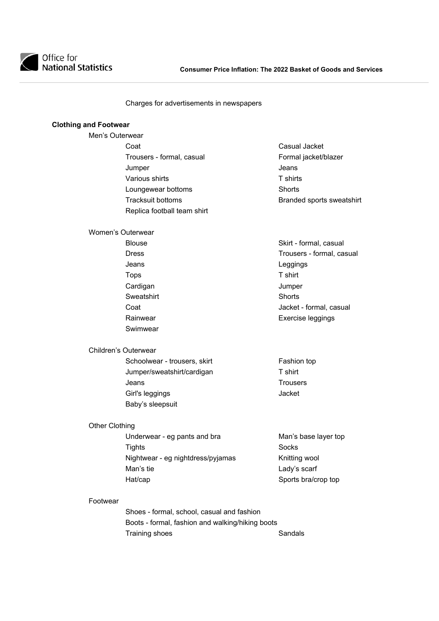

Charges for advertisements in newspapers

### **Clothing and Footwear**

- Men's Outerwear Coat Coat Coat Casual Jacket Trousers - formal, casual Formal jacket/blazer **Jumper Contract Contract Contract Contract Contract Contract Contract Contract Contract Contract Contract Contract Contract Contract Contract Contract Contract Contract Contract Contract Contract Contract Contract Contr** Various shirts T shirts Loungewear bottoms **Shorts** Shorts Replica football team shirt
	- Tracksuit bottoms **Branded** sports sweatshirt

Blouse **Skirt** - formal, casual Dress **Trousers** - formal, casual Coat Jacket - formal, casual Rainwear **Exercise** leggings

#### Women's Outerwear

 Jeans Leggings Tops T shirt Cardigan Jumper Sweatshirt Shorts Swimwear

### Children's Outerwear

Schoolwear - trousers, skirt Fashion top Jumper/sweatshirt/cardigan T shirt Jeans Trousers Girl's leggings Jacket Baby's sleepsuit

### Other Clothing

Underwear - eg pants and bra Man's base layer top Tights Socks Nightwear - eg nightdress/pyjamas Knitting wool Man's tie **Lady's scarf** Hat/cap Sports bra/crop top

#### Footwear

 Shoes - formal, school, casual and fashion Boots - formal, fashion and walking/hiking boots Training shoes Sandals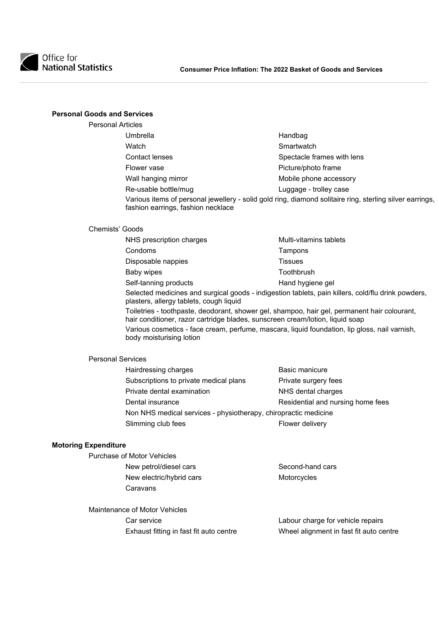

### **Personal Goods and Services**

| <b>Personal Articles</b>           |                                                                                                          |
|------------------------------------|----------------------------------------------------------------------------------------------------------|
| Umbrella                           | Handbag                                                                                                  |
| Watch                              | Smartwatch                                                                                               |
| <b>Contact lenses</b>              | Spectacle frames with lens                                                                               |
| Flower vase                        | Picture/photo frame                                                                                      |
| Wall hanging mirror                | Mobile phone accessory                                                                                   |
| Re-usable bottle/mug               | Luggage - trolley case                                                                                   |
| fashion earrings, fashion necklace | Various items of personal jewellery - solid gold ring, diamond solitaire ring, sterling silver earrings, |

### Chemists' Goods

|                                                                                                                                                                               | NHS prescription charges                                                                                                                      | Multi-vitamins tablets |  |
|-------------------------------------------------------------------------------------------------------------------------------------------------------------------------------|-----------------------------------------------------------------------------------------------------------------------------------------------|------------------------|--|
|                                                                                                                                                                               | Condoms                                                                                                                                       | Tampons                |  |
|                                                                                                                                                                               | Disposable nappies                                                                                                                            | Tissues                |  |
|                                                                                                                                                                               | Baby wipes                                                                                                                                    | Toothbrush             |  |
|                                                                                                                                                                               | Self-tanning products                                                                                                                         | Hand hygiene gel       |  |
|                                                                                                                                                                               | Selected medicines and surgical goods - indigestion tablets, pain killers, cold/flu drink powders,<br>plasters, allergy tablets, cough liquid |                        |  |
| Toiletries - toothpaste, deodorant, shower gel, shampoo, hair gel, permanent hair colourant,<br>hair conditioner, razor cartridge blades, sunscreen cream/lotion, liquid soap |                                                                                                                                               |                        |  |
|                                                                                                                                                                               |                                                                                                                                               |                        |  |

Various cosmetics - face cream, perfume, mascara, liquid foundation, lip gloss, nail varnish, body moisturising lotion

### Personal Services

| Hairdressing charges                                            | Basic manicure                    |
|-----------------------------------------------------------------|-----------------------------------|
| Subscriptions to private medical plans                          | Private surgery fees              |
| Private dental examination                                      | NHS dental charges                |
| Dental insurance                                                | Residential and nursing home fees |
| Non NHS medical services - physiotherapy, chiropractic medicine |                                   |
| Slimming club fees                                              | Flower delivery                   |

### **Motoring Expenditure**

| Purchase of Motor Vehicles |                  |
|----------------------------|------------------|
| New petrol/diesel cars     | Second-hand cars |
| New electric/hybrid cars   | Motorcycles      |
| Caravans                   |                  |

Maintenance of Motor Vehicles Exhaust fitting in fast fit auto centre

Car service<br>
Exhaust fitting in fast fit auto centre<br>
Wheel alignment in fast fit auto centre<br>
Wheel alignment in fast fit auto centre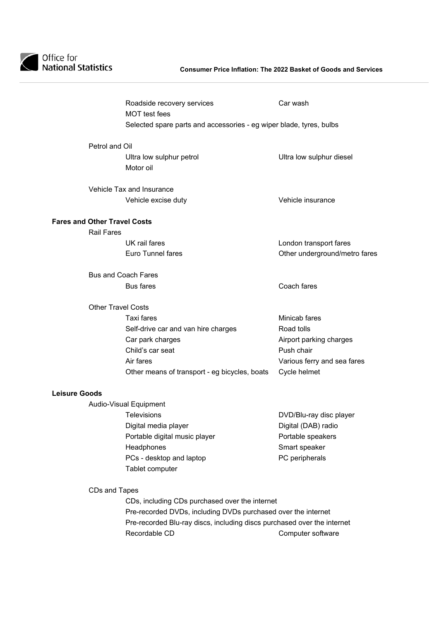

|                                     |                                                                     | Roadside recovery services<br><b>MOT</b> test fees | Car wash                      |  |  |
|-------------------------------------|---------------------------------------------------------------------|----------------------------------------------------|-------------------------------|--|--|
|                                     | Selected spare parts and accessories - eg wiper blade, tyres, bulbs |                                                    |                               |  |  |
|                                     | Petrol and Oil                                                      |                                                    |                               |  |  |
|                                     |                                                                     | Ultra low sulphur petrol<br>Motor oil              | Ultra low sulphur diesel      |  |  |
|                                     | Vehicle Tax and Insurance                                           |                                                    |                               |  |  |
|                                     |                                                                     | Vehicle excise duty                                | Vehicle insurance             |  |  |
| <b>Fares and Other Travel Costs</b> |                                                                     |                                                    |                               |  |  |
|                                     | <b>Rail Fares</b>                                                   |                                                    |                               |  |  |
|                                     |                                                                     | UK rail fares                                      | London transport fares        |  |  |
|                                     |                                                                     | Euro Tunnel fares                                  | Other underground/metro fares |  |  |
|                                     | <b>Bus and Coach Fares</b>                                          |                                                    |                               |  |  |
|                                     |                                                                     | <b>Bus fares</b>                                   | Coach fares                   |  |  |
|                                     | <b>Other Travel Costs</b>                                           |                                                    |                               |  |  |
|                                     |                                                                     | Taxi fares                                         | Minicab fares                 |  |  |
|                                     |                                                                     | Self-drive car and van hire charges                | Road tolls                    |  |  |
|                                     |                                                                     | Car park charges                                   | Airport parking charges       |  |  |
|                                     |                                                                     | Child's car seat                                   | Push chair                    |  |  |
|                                     |                                                                     | Air fares                                          | Various ferry and sea fares   |  |  |
|                                     |                                                                     | Other means of transport - eg bicycles, boats      | Cycle helmet                  |  |  |
| <b>Leisure Goods</b>                |                                                                     |                                                    |                               |  |  |
|                                     | Audio-Visual Equipment                                              |                                                    |                               |  |  |

### **Leisure G**

 Televisions DVD/Blu-ray disc player Digital media player **Digital** (DAB) radio Portable digital music player **Portable speakers** Headphones **Smart** speaker PCs - desktop and laptop example and proper peripherals Tablet computer

CDs and Tapes

 CDs, including CDs purchased over the internet Pre-recorded DVDs, including DVDs purchased over the internet Pre-recorded Blu-ray discs, including discs purchased over the internet Recordable CD **Computer software**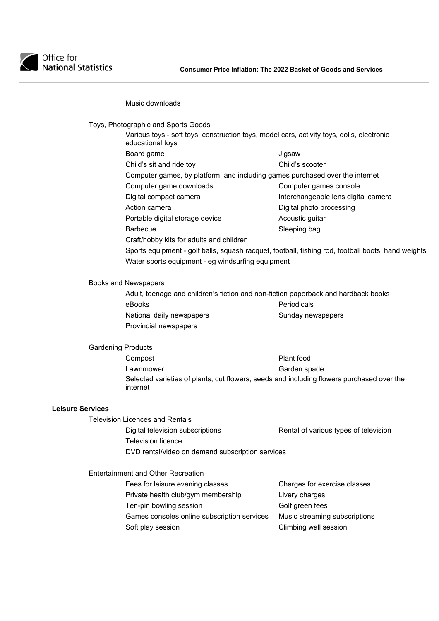

### Music downloads

Toys, Photographic and Sports Goods

| Various toys - soft toys, construction toys, model cars, activity toys, dolls, electronic<br>educational toys |                                                                                                    |  |
|---------------------------------------------------------------------------------------------------------------|----------------------------------------------------------------------------------------------------|--|
| Board game                                                                                                    | Jigsaw                                                                                             |  |
| Child's sit and ride toy                                                                                      | Child's scooter                                                                                    |  |
| Computer games, by platform, and including games purchased over the internet                                  |                                                                                                    |  |
| Computer game downloads                                                                                       | Computer games console                                                                             |  |
| Digital compact camera                                                                                        | Interchangeable lens digital camera                                                                |  |
| Action camera                                                                                                 | Digital photo processing                                                                           |  |
| Portable digital storage device                                                                               | Acoustic guitar                                                                                    |  |
| <b>Barbecue</b>                                                                                               | Sleeping bag                                                                                       |  |
| Craft/hobby kits for adults and children                                                                      |                                                                                                    |  |
|                                                                                                               | Sports equipment - golf balls, squash racquet, football, fishing rod, football boots, hand weights |  |
|                                                                                                               |                                                                                                    |  |

Books and Newspapers

 Adult, teenage and children's fiction and non-fiction paperback and hardback books eBooks entertainment of the Periodicals National daily newspapers **National daily newspapers** Provincial newspapers

Water sports equipment - eg windsurfing equipment

Gardening Products **Compost** Compost **Plant** food Lawnmower **Carden** Sanden spade Selected varieties of plants, cut flowers, seeds and including flowers purchased over the internet

### **Leisure Services**

Television Licences and Rentals

Digital television subscriptions **Rental of various types of television**  Television licence DVD rental/video on demand subscription services

Entertainment and Other Recreation

| Fees for leisure evening classes            | Charges for exercise classes  |
|---------------------------------------------|-------------------------------|
| Private health club/gym membership          | Livery charges                |
| Ten-pin bowling session                     | Golf green fees               |
| Games consoles online subscription services | Music streaming subscriptions |
| Soft play session                           | Climbing wall session         |